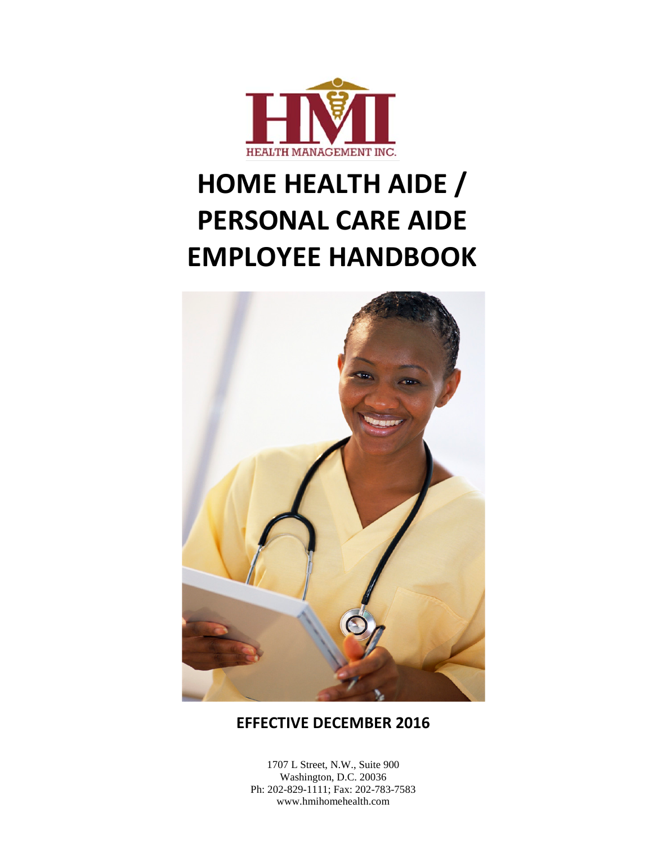

# **HOME HEALTH AIDE / PERSONAL CARE AIDE EMPLOYEE HANDBOOK**



## **EFFECTIVE DECEMBER 2016**

1707 L Street, N.W., Suite 900 Washington, D.C. 20036 Ph: 202-829-1111; Fax: 202-783-7583 www.hmihomehealth.com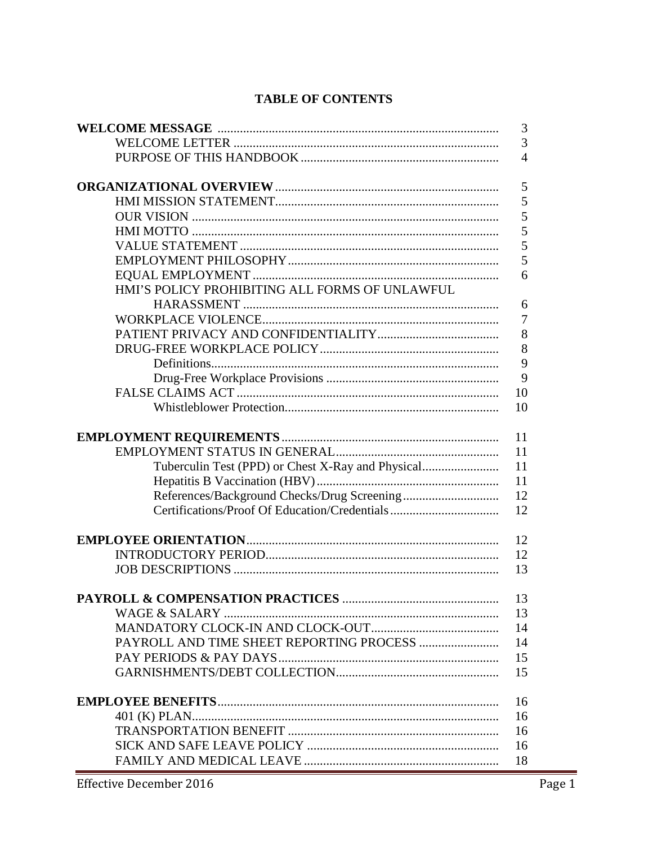## **TABLE OF CONTENTS**

|                                                | 3              |
|------------------------------------------------|----------------|
|                                                | 3              |
|                                                | $\overline{4}$ |
|                                                | 5              |
|                                                | 5              |
|                                                | 5              |
|                                                | 5              |
|                                                | 5              |
|                                                | 5              |
|                                                | 6              |
| HMI'S POLICY PROHIBITING ALL FORMS OF UNLAWFUL |                |
|                                                | 6              |
|                                                | $\overline{7}$ |
|                                                | 8              |
|                                                | 8              |
|                                                | 9              |
|                                                | 9              |
|                                                | 10             |
|                                                | 10             |
|                                                | 11             |
|                                                | 11             |
|                                                | 11             |
|                                                | 11             |
|                                                | 12             |
|                                                | 12             |
|                                                | 12             |
|                                                | 12             |
|                                                | 13             |
|                                                | 13             |
|                                                | 13             |
|                                                | 14             |
|                                                | 14             |
|                                                | 15             |
|                                                | 15             |
|                                                |                |
|                                                | 16             |
|                                                | 16             |
|                                                | 16             |
|                                                | 16             |
|                                                | 18             |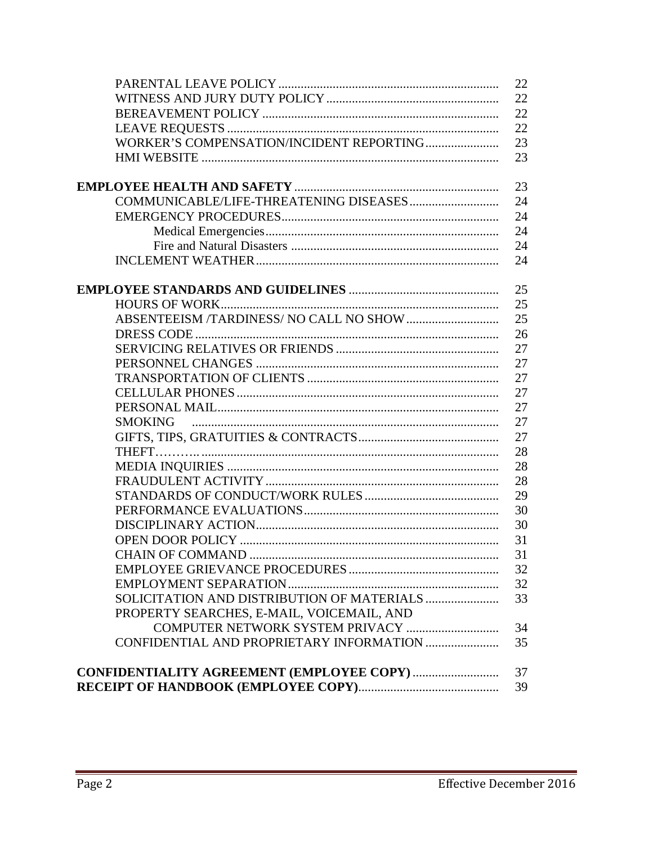|                                            | 22 |
|--------------------------------------------|----|
|                                            | 22 |
|                                            | 22 |
|                                            | 22 |
| WORKER'S COMPENSATION/INCIDENT REPORTING   | 23 |
|                                            | 23 |
|                                            |    |
|                                            | 23 |
|                                            | 24 |
|                                            | 24 |
|                                            | 24 |
|                                            | 24 |
|                                            | 24 |
|                                            |    |
|                                            | 25 |
|                                            | 25 |
|                                            | 25 |
|                                            | 26 |
|                                            | 27 |
|                                            | 27 |
|                                            | 27 |
|                                            | 27 |
|                                            | 27 |
| <b>SMOKING</b>                             | 27 |
|                                            | 27 |
|                                            | 28 |
|                                            | 28 |
|                                            | 28 |
|                                            | 29 |
|                                            | 30 |
|                                            | 30 |
|                                            | 31 |
|                                            | 31 |
|                                            | 32 |
|                                            | 32 |
| SOLICITATION AND DISTRIBUTION OF MATERIALS | 33 |
| PROPERTY SEARCHES, E-MAIL, VOICEMAIL, AND  |    |
|                                            | 34 |
|                                            | 35 |
|                                            |    |
|                                            | 37 |
|                                            | 39 |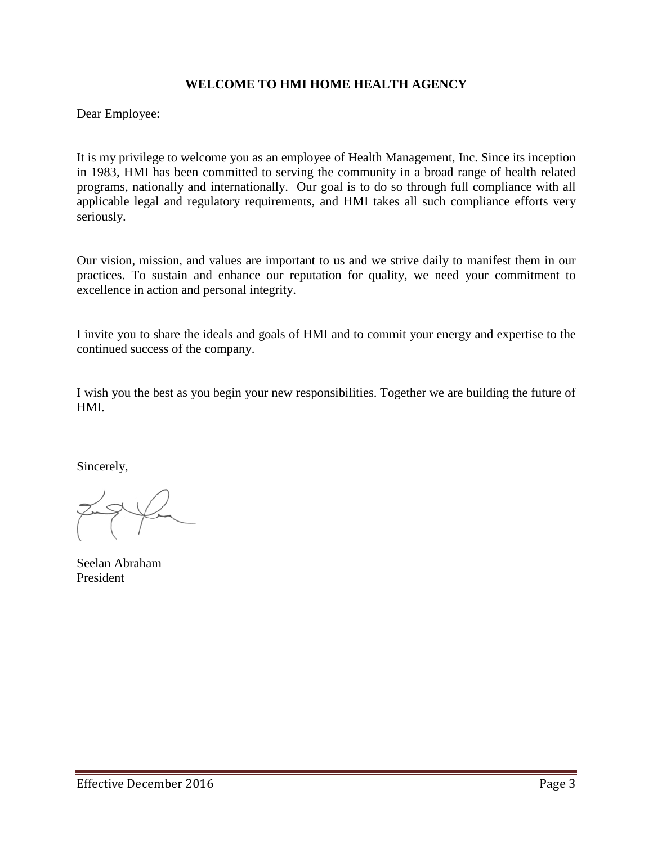## **WELCOME TO HMI HOME HEALTH AGENCY**

Dear Employee:

It is my privilege to welcome you as an employee of Health Management, Inc. Since its inception in 1983, HMI has been committed to serving the community in a broad range of health related programs, nationally and internationally. Our goal is to do so through full compliance with all applicable legal and regulatory requirements, and HMI takes all such compliance efforts very seriously.

Our vision, mission, and values are important to us and we strive daily to manifest them in our practices. To sustain and enhance our reputation for quality, we need your commitment to excellence in action and personal integrity.

I invite you to share the ideals and goals of HMI and to commit your energy and expertise to the continued success of the company.

I wish you the best as you begin your new responsibilities. Together we are building the future of HMI.

Sincerely,

Seelan Abraham President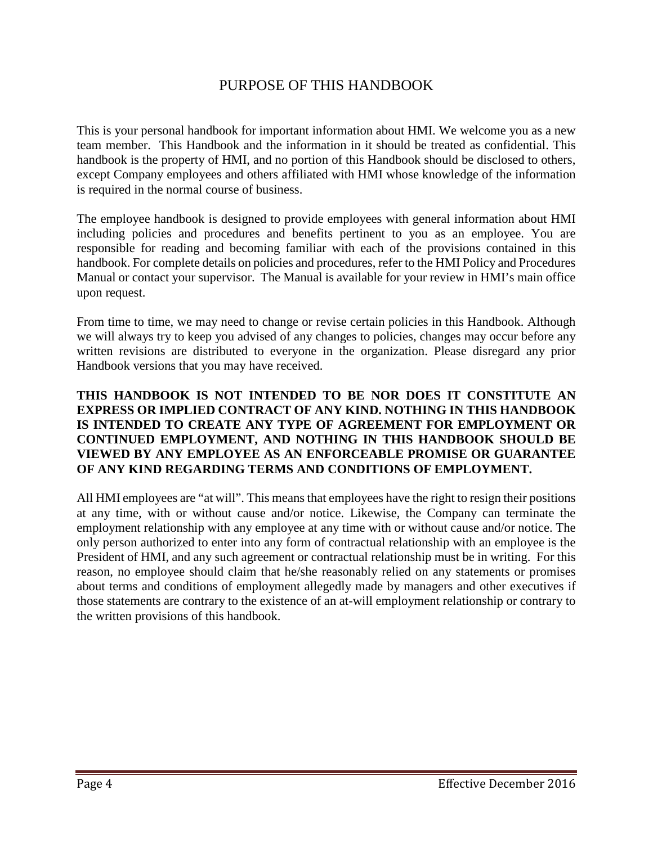## PURPOSE OF THIS HANDBOOK

This is your personal handbook for important information about HMI. We welcome you as a new team member. This Handbook and the information in it should be treated as confidential. This handbook is the property of HMI, and no portion of this Handbook should be disclosed to others, except Company employees and others affiliated with HMI whose knowledge of the information is required in the normal course of business.

The employee handbook is designed to provide employees with general information about HMI including policies and procedures and benefits pertinent to you as an employee. You are responsible for reading and becoming familiar with each of the provisions contained in this handbook. For complete details on policies and procedures, refer to the HMI Policy and Procedures Manual or contact your supervisor. The Manual is available for your review in HMI's main office upon request.

From time to time, we may need to change or revise certain policies in this Handbook. Although we will always try to keep you advised of any changes to policies, changes may occur before any written revisions are distributed to everyone in the organization. Please disregard any prior Handbook versions that you may have received.

#### **THIS HANDBOOK IS NOT INTENDED TO BE NOR DOES IT CONSTITUTE AN EXPRESS OR IMPLIED CONTRACT OF ANY KIND. NOTHING IN THIS HANDBOOK IS INTENDED TO CREATE ANY TYPE OF AGREEMENT FOR EMPLOYMENT OR CONTINUED EMPLOYMENT, AND NOTHING IN THIS HANDBOOK SHOULD BE VIEWED BY ANY EMPLOYEE AS AN ENFORCEABLE PROMISE OR GUARANTEE OF ANY KIND REGARDING TERMS AND CONDITIONS OF EMPLOYMENT.**

All HMI employees are "at will". This means that employees have the right to resign their positions at any time, with or without cause and/or notice. Likewise, the Company can terminate the employment relationship with any employee at any time with or without cause and/or notice. The only person authorized to enter into any form of contractual relationship with an employee is the President of HMI, and any such agreement or contractual relationship must be in writing. For this reason, no employee should claim that he/she reasonably relied on any statements or promises about terms and conditions of employment allegedly made by managers and other executives if those statements are contrary to the existence of an at-will employment relationship or contrary to the written provisions of this handbook.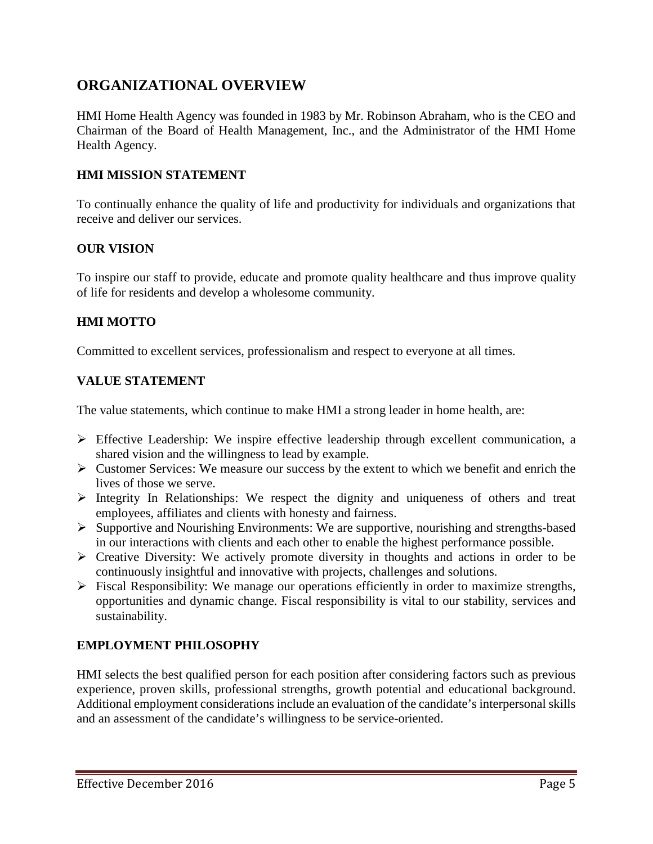## **ORGANIZATIONAL OVERVIEW**

HMI Home Health Agency was founded in 1983 by Mr. Robinson Abraham, who is the CEO and Chairman of the Board of Health Management, Inc., and the Administrator of the HMI Home Health Agency.

## **HMI MISSION STATEMENT**

To continually enhance the quality of life and productivity for individuals and organizations that receive and deliver our services.

#### **OUR VISION**

To inspire our staff to provide, educate and promote quality healthcare and thus improve quality of life for residents and develop a wholesome community.

## **HMI MOTTO**

Committed to excellent services, professionalism and respect to everyone at all times.

## **VALUE STATEMENT**

The value statements, which continue to make HMI a strong leader in home health, are:

- $\triangleright$  Effective Leadership: We inspire effective leadership through excellent communication, a shared vision and the willingness to lead by example.
- $\triangleright$  Customer Services: We measure our success by the extent to which we benefit and enrich the lives of those we serve.
- $\triangleright$  Integrity In Relationships: We respect the dignity and uniqueness of others and treat employees, affiliates and clients with honesty and fairness.
- $\triangleright$  Supportive and Nourishing Environments: We are supportive, nourishing and strengths-based in our interactions with clients and each other to enable the highest performance possible.
- $\triangleright$  Creative Diversity: We actively promote diversity in thoughts and actions in order to be continuously insightful and innovative with projects, challenges and solutions.
- $\triangleright$  Fiscal Responsibility: We manage our operations efficiently in order to maximize strengths, opportunities and dynamic change. Fiscal responsibility is vital to our stability, services and sustainability.

## **EMPLOYMENT PHILOSOPHY**

HMI selects the best qualified person for each position after considering factors such as previous experience, proven skills, professional strengths, growth potential and educational background. Additional employment considerations include an evaluation of the candidate's interpersonal skills and an assessment of the candidate's willingness to be service-oriented.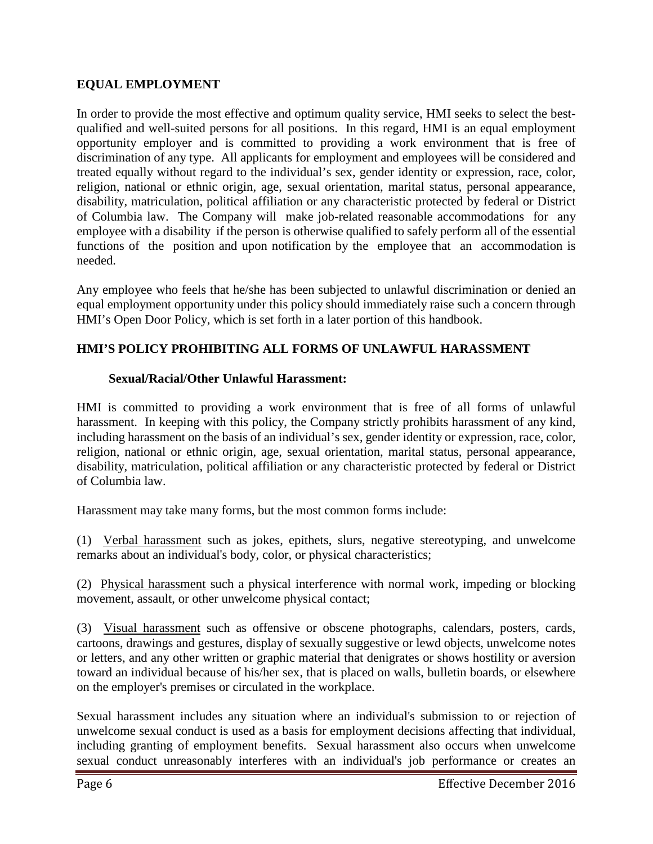## **EQUAL EMPLOYMENT**

In order to provide the most effective and optimum quality service, HMI seeks to select the bestqualified and well-suited persons for all positions. In this regard, HMI is an equal employment opportunity employer and is committed to providing a work environment that is free of discrimination of any type. All applicants for employment and employees will be considered and treated equally without regard to the individual's sex, gender identity or expression, race, color, religion, national or ethnic origin, age, sexual orientation, marital status, personal appearance, disability, matriculation, political affiliation or any characteristic protected by federal or District of Columbia law. The Company will make job-related reasonable accommodations for any employee with a disability if the person is otherwise qualified to safely perform all of the essential functions of the position and upon notification by the employee that an accommodation is needed.

Any employee who feels that he/she has been subjected to unlawful discrimination or denied an equal employment opportunity under this policy should immediately raise such a concern through HMI's Open Door Policy, which is set forth in a later portion of this handbook.

## **HMI'S POLICY PROHIBITING ALL FORMS OF UNLAWFUL HARASSMENT**

#### **Sexual/Racial/Other Unlawful Harassment:**

HMI is committed to providing a work environment that is free of all forms of unlawful harassment. In keeping with this policy, the Company strictly prohibits harassment of any kind, including harassment on the basis of an individual's sex, gender identity or expression, race, color, religion, national or ethnic origin, age, sexual orientation, marital status, personal appearance, disability, matriculation, political affiliation or any characteristic protected by federal or District of Columbia law.

Harassment may take many forms, but the most common forms include:

(1) Verbal harassment such as jokes, epithets, slurs, negative stereotyping, and unwelcome remarks about an individual's body, color, or physical characteristics;

(2) Physical harassment such a physical interference with normal work, impeding or blocking movement, assault, or other unwelcome physical contact;

(3) Visual harassment such as offensive or obscene photographs, calendars, posters, cards, cartoons, drawings and gestures, display of sexually suggestive or lewd objects, unwelcome notes or letters, and any other written or graphic material that denigrates or shows hostility or aversion toward an individual because of his/her sex, that is placed on walls, bulletin boards, or elsewhere on the employer's premises or circulated in the workplace.

Sexual harassment includes any situation where an individual's submission to or rejection of unwelcome sexual conduct is used as a basis for employment decisions affecting that individual, including granting of employment benefits. Sexual harassment also occurs when unwelcome sexual conduct unreasonably interferes with an individual's job performance or creates an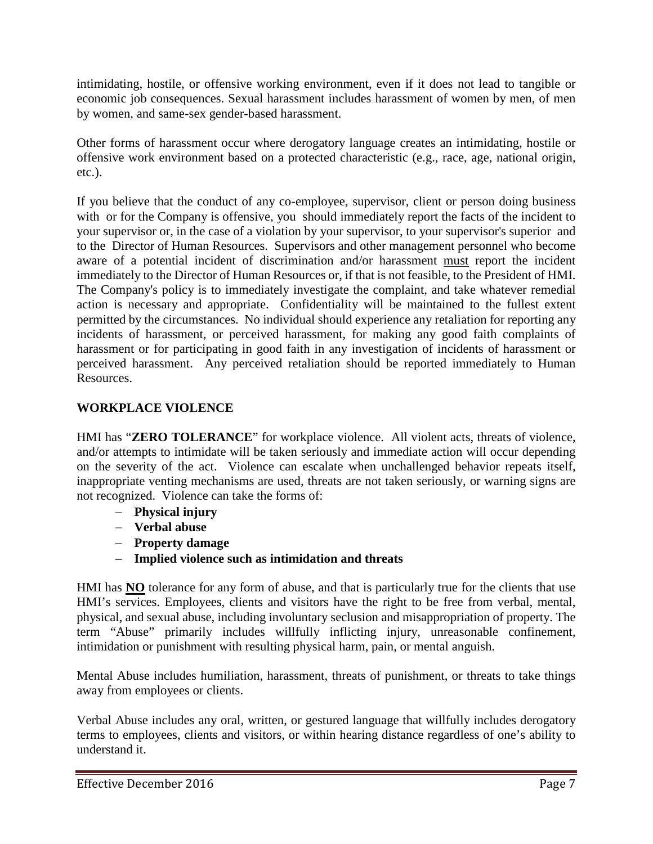intimidating, hostile, or offensive working environment, even if it does not lead to tangible or economic job consequences. Sexual harassment includes harassment of women by men, of men by women, and same-sex gender-based harassment.

Other forms of harassment occur where derogatory language creates an intimidating, hostile or offensive work environment based on a protected characteristic (e.g., race, age, national origin, etc.).

If you believe that the conduct of any co-employee, supervisor, client or person doing business with or for the Company is offensive, you should immediately report the facts of the incident to your supervisor or, in the case of a violation by your supervisor, to your supervisor's superior and to the Director of Human Resources. Supervisors and other management personnel who become aware of a potential incident of discrimination and/or harassment must report the incident immediately to the Director of Human Resources or, if that is not feasible, to the President of HMI. The Company's policy is to immediately investigate the complaint, and take whatever remedial action is necessary and appropriate. Confidentiality will be maintained to the fullest extent permitted by the circumstances. No individual should experience any retaliation for reporting any incidents of harassment, or perceived harassment, for making any good faith complaints of harassment or for participating in good faith in any investigation of incidents of harassment or perceived harassment. Any perceived retaliation should be reported immediately to Human Resources.

## **WORKPLACE VIOLENCE**

HMI has "**ZERO TOLERANCE**" for workplace violence. All violent acts, threats of violence, and/or attempts to intimidate will be taken seriously and immediate action will occur depending on the severity of the act. Violence can escalate when unchallenged behavior repeats itself, inappropriate venting mechanisms are used, threats are not taken seriously, or warning signs are not recognized. Violence can take the forms of:

- − **Physical injury**
- − **Verbal abuse**
- − **Property damage**
- − **Implied violence such as intimidation and threats**

HMI has **NO** tolerance for any form of abuse, and that is particularly true for the clients that use HMI's services. Employees, clients and visitors have the right to be free from verbal, mental, physical, and sexual abuse, including involuntary seclusion and misappropriation of property. The term "Abuse" primarily includes willfully inflicting injury, unreasonable confinement, intimidation or punishment with resulting physical harm, pain, or mental anguish.

Mental Abuse includes humiliation, harassment, threats of punishment, or threats to take things away from employees or clients.

Verbal Abuse includes any oral, written, or gestured language that willfully includes derogatory terms to employees, clients and visitors, or within hearing distance regardless of one's ability to understand it.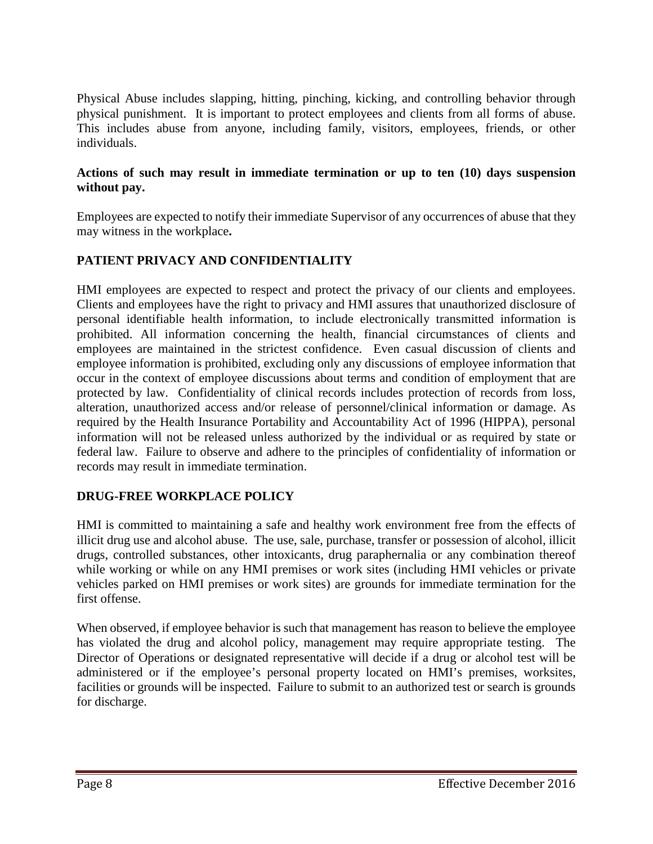Physical Abuse includes slapping, hitting, pinching, kicking, and controlling behavior through physical punishment. It is important to protect employees and clients from all forms of abuse. This includes abuse from anyone, including family, visitors, employees, friends, or other individuals.

## **Actions of such may result in immediate termination or up to ten (10) days suspension without pay.**

Employees are expected to notify their immediate Supervisor of any occurrences of abuse that they may witness in the workplace**.** 

## **PATIENT PRIVACY AND CONFIDENTIALITY**

HMI employees are expected to respect and protect the privacy of our clients and employees. Clients and employees have the right to privacy and HMI assures that unauthorized disclosure of personal identifiable health information, to include electronically transmitted information is prohibited. All information concerning the health, financial circumstances of clients and employees are maintained in the strictest confidence. Even casual discussion of clients and employee information is prohibited, excluding only any discussions of employee information that occur in the context of employee discussions about terms and condition of employment that are protected by law. Confidentiality of clinical records includes protection of records from loss, alteration, unauthorized access and/or release of personnel/clinical information or damage. As required by the Health Insurance Portability and Accountability Act of 1996 (HIPPA), personal information will not be released unless authorized by the individual or as required by state or federal law. Failure to observe and adhere to the principles of confidentiality of information or records may result in immediate termination.

## **DRUG-FREE WORKPLACE POLICY**

HMI is committed to maintaining a safe and healthy work environment free from the effects of illicit drug use and alcohol abuse. The use, sale, purchase, transfer or possession of alcohol, illicit drugs, controlled substances, other intoxicants, drug paraphernalia or any combination thereof while working or while on any HMI premises or work sites (including HMI vehicles or private vehicles parked on HMI premises or work sites) are grounds for immediate termination for the first offense.

When observed, if employee behavior is such that management has reason to believe the employee has violated the drug and alcohol policy, management may require appropriate testing. The Director of Operations or designated representative will decide if a drug or alcohol test will be administered or if the employee's personal property located on HMI's premises, worksites, facilities or grounds will be inspected. Failure to submit to an authorized test or search is grounds for discharge.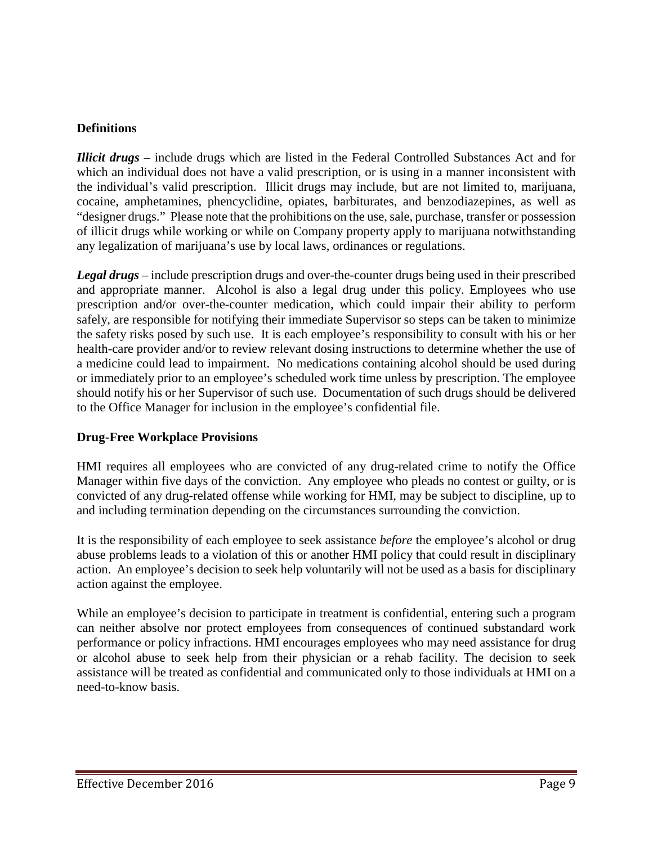## **Definitions**

*Illicit drugs* – include drugs which are listed in the Federal Controlled Substances Act and for which an individual does not have a valid prescription, or is using in a manner inconsistent with the individual's valid prescription. Illicit drugs may include, but are not limited to, marijuana, cocaine, amphetamines, phencyclidine, opiates, barbiturates, and benzodiazepines, as well as "designer drugs." Please note that the prohibitions on the use, sale, purchase, transfer or possession of illicit drugs while working or while on Company property apply to marijuana notwithstanding any legalization of marijuana's use by local laws, ordinances or regulations.

*Legal drugs* – include prescription drugs and over-the-counter drugs being used in their prescribed and appropriate manner. Alcohol is also a legal drug under this policy. Employees who use prescription and/or over-the-counter medication, which could impair their ability to perform safely, are responsible for notifying their immediate Supervisor so steps can be taken to minimize the safety risks posed by such use. It is each employee's responsibility to consult with his or her health-care provider and/or to review relevant dosing instructions to determine whether the use of a medicine could lead to impairment. No medications containing alcohol should be used during or immediately prior to an employee's scheduled work time unless by prescription. The employee should notify his or her Supervisor of such use. Documentation of such drugs should be delivered to the Office Manager for inclusion in the employee's confidential file.

#### **Drug-Free Workplace Provisions**

HMI requires all employees who are convicted of any drug-related crime to notify the Office Manager within five days of the conviction. Any employee who pleads no contest or guilty, or is convicted of any drug-related offense while working for HMI, may be subject to discipline, up to and including termination depending on the circumstances surrounding the conviction.

It is the responsibility of each employee to seek assistance *before* the employee's alcohol or drug abuse problems leads to a violation of this or another HMI policy that could result in disciplinary action. An employee's decision to seek help voluntarily will not be used as a basis for disciplinary action against the employee.

While an employee's decision to participate in treatment is confidential, entering such a program can neither absolve nor protect employees from consequences of continued substandard work performance or policy infractions. HMI encourages employees who may need assistance for drug or alcohol abuse to seek help from their physician or a rehab facility. The decision to seek assistance will be treated as confidential and communicated only to those individuals at HMI on a need-to-know basis.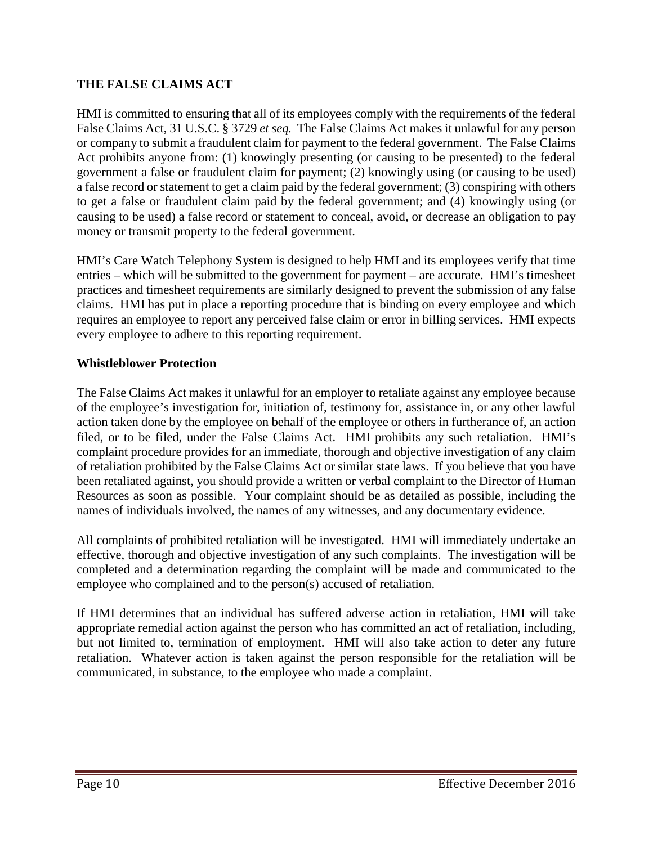## **THE FALSE CLAIMS ACT**

HMI is committed to ensuring that all of its employees comply with the requirements of the federal False Claims Act, 31 U.S.C. § 3729 *et seq.* The False Claims Act makes it unlawful for any person or company to submit a fraudulent claim for payment to the federal government. The False Claims Act prohibits anyone from: (1) knowingly presenting (or causing to be presented) to the federal government a false or fraudulent claim for payment; (2) knowingly using (or causing to be used) a false record or statement to get a claim paid by the federal government; (3) conspiring with others to get a false or fraudulent claim paid by the federal government; and (4) knowingly using (or causing to be used) a false record or statement to conceal, avoid, or decrease an obligation to pay money or transmit property to the federal government.

HMI's Care Watch Telephony System is designed to help HMI and its employees verify that time entries – which will be submitted to the government for payment – are accurate. HMI's timesheet practices and timesheet requirements are similarly designed to prevent the submission of any false claims. HMI has put in place a reporting procedure that is binding on every employee and which requires an employee to report any perceived false claim or error in billing services. HMI expects every employee to adhere to this reporting requirement.

## **Whistleblower Protection**

The False Claims Act makes it unlawful for an employer to retaliate against any employee because of the employee's investigation for, initiation of, testimony for, assistance in, or any other lawful action taken done by the employee on behalf of the employee or others in furtherance of, an action filed, or to be filed, under the False Claims Act. HMI prohibits any such retaliation. HMI's complaint procedure provides for an immediate, thorough and objective investigation of any claim of retaliation prohibited by the False Claims Act or similar state laws. If you believe that you have been retaliated against, you should provide a written or verbal complaint to the Director of Human Resources as soon as possible. Your complaint should be as detailed as possible, including the names of individuals involved, the names of any witnesses, and any documentary evidence.

All complaints of prohibited retaliation will be investigated. HMI will immediately undertake an effective, thorough and objective investigation of any such complaints. The investigation will be completed and a determination regarding the complaint will be made and communicated to the employee who complained and to the person(s) accused of retaliation.

If HMI determines that an individual has suffered adverse action in retaliation, HMI will take appropriate remedial action against the person who has committed an act of retaliation, including, but not limited to, termination of employment. HMI will also take action to deter any future retaliation. Whatever action is taken against the person responsible for the retaliation will be communicated, in substance, to the employee who made a complaint.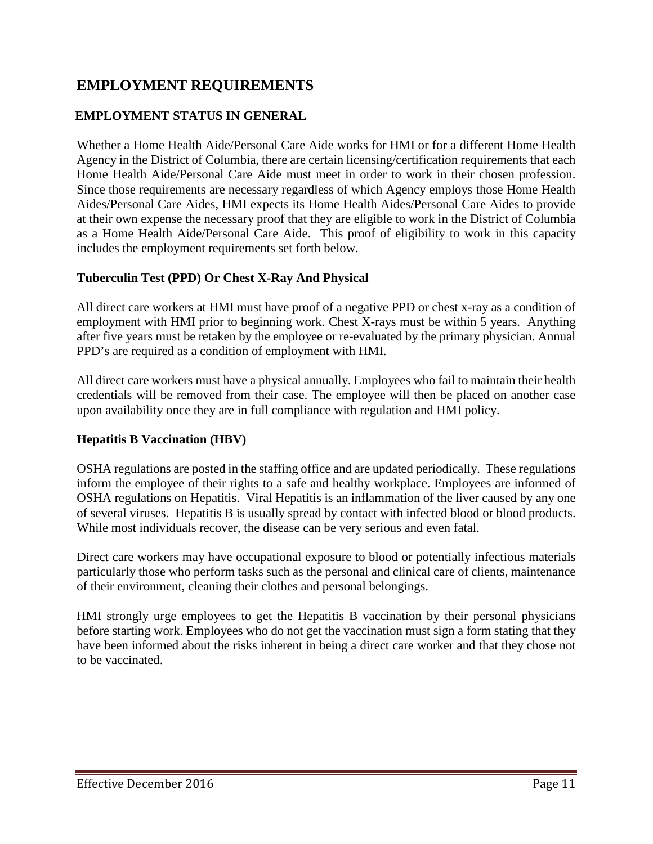## **EMPLOYMENT REQUIREMENTS**

## **EMPLOYMENT STATUS IN GENERAL**

Whether a Home Health Aide/Personal Care Aide works for HMI or for a different Home Health Agency in the District of Columbia, there are certain licensing/certification requirements that each Home Health Aide/Personal Care Aide must meet in order to work in their chosen profession. Since those requirements are necessary regardless of which Agency employs those Home Health Aides/Personal Care Aides, HMI expects its Home Health Aides/Personal Care Aides to provide at their own expense the necessary proof that they are eligible to work in the District of Columbia as a Home Health Aide/Personal Care Aide. This proof of eligibility to work in this capacity includes the employment requirements set forth below.

#### **Tuberculin Test (PPD) Or Chest X-Ray And Physical**

All direct care workers at HMI must have proof of a negative PPD or chest x-ray as a condition of employment with HMI prior to beginning work. Chest X-rays must be within 5 years. Anything after five years must be retaken by the employee or re-evaluated by the primary physician. Annual PPD's are required as a condition of employment with HMI.

All direct care workers must have a physical annually. Employees who fail to maintain their health credentials will be removed from their case. The employee will then be placed on another case upon availability once they are in full compliance with regulation and HMI policy.

#### **Hepatitis B Vaccination (HBV)**

OSHA regulations are posted in the staffing office and are updated periodically. These regulations inform the employee of their rights to a safe and healthy workplace. Employees are informed of OSHA regulations on Hepatitis. Viral Hepatitis is an inflammation of the liver caused by any one of several viruses. Hepatitis B is usually spread by contact with infected blood or blood products. While most individuals recover, the disease can be very serious and even fatal.

Direct care workers may have occupational exposure to blood or potentially infectious materials particularly those who perform tasks such as the personal and clinical care of clients, maintenance of their environment, cleaning their clothes and personal belongings.

HMI strongly urge employees to get the Hepatitis B vaccination by their personal physicians before starting work. Employees who do not get the vaccination must sign a form stating that they have been informed about the risks inherent in being a direct care worker and that they chose not to be vaccinated.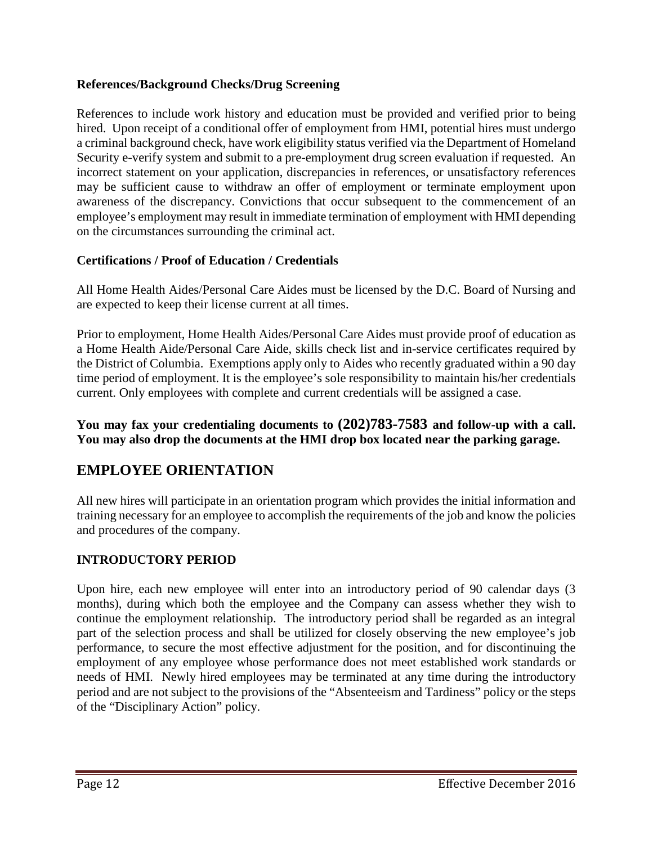## **References/Background Checks/Drug Screening**

References to include work history and education must be provided and verified prior to being hired. Upon receipt of a conditional offer of employment from HMI, potential hires must undergo a criminal background check, have work eligibility status verified via the Department of Homeland Security e-verify system and submit to a pre-employment drug screen evaluation if requested. An incorrect statement on your application, discrepancies in references, or unsatisfactory references may be sufficient cause to withdraw an offer of employment or terminate employment upon awareness of the discrepancy. Convictions that occur subsequent to the commencement of an employee's employment may result in immediate termination of employment with HMI depending on the circumstances surrounding the criminal act.

## **Certifications / Proof of Education / Credentials**

All Home Health Aides/Personal Care Aides must be licensed by the D.C. Board of Nursing and are expected to keep their license current at all times.

Prior to employment, Home Health Aides/Personal Care Aides must provide proof of education as a Home Health Aide/Personal Care Aide, skills check list and in-service certificates required by the District of Columbia. Exemptions apply only to Aides who recently graduated within a 90 day time period of employment. It is the employee's sole responsibility to maintain his/her credentials current. Only employees with complete and current credentials will be assigned a case.

## **You may fax your credentialing documents to (202)783-7583 and follow-up with a call. You may also drop the documents at the HMI drop box located near the parking garage.**

## **EMPLOYEE ORIENTATION**

All new hires will participate in an orientation program which provides the initial information and training necessary for an employee to accomplish the requirements of the job and know the policies and procedures of the company.

## **INTRODUCTORY PERIOD**

Upon hire, each new employee will enter into an introductory period of 90 calendar days (3 months), during which both the employee and the Company can assess whether they wish to continue the employment relationship. The introductory period shall be regarded as an integral part of the selection process and shall be utilized for closely observing the new employee's job performance, to secure the most effective adjustment for the position, and for discontinuing the employment of any employee whose performance does not meet established work standards or needs of HMI. Newly hired employees may be terminated at any time during the introductory period and are not subject to the provisions of the "Absenteeism and Tardiness" policy or the steps of the "Disciplinary Action" policy.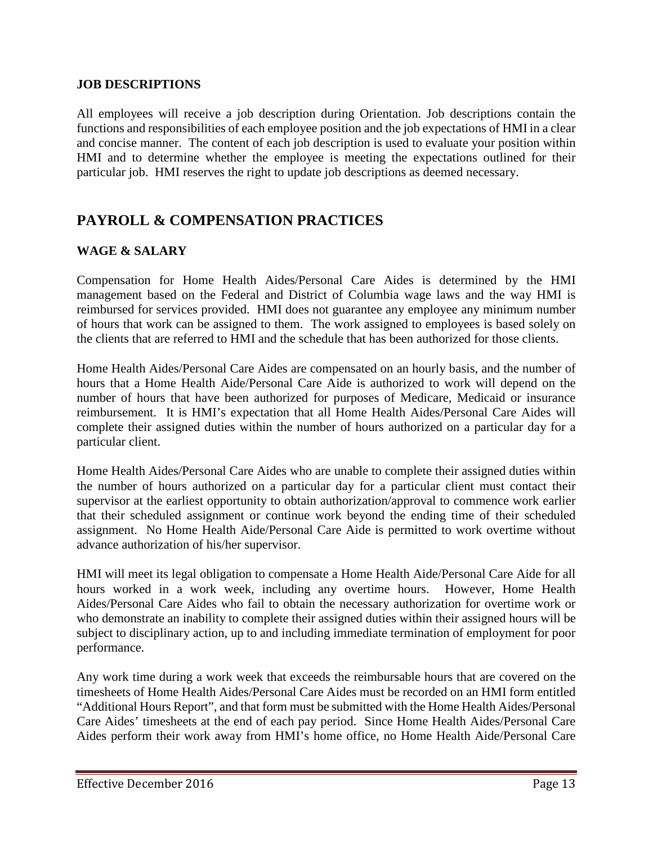#### **JOB DESCRIPTIONS**

All employees will receive a job description during Orientation. Job descriptions contain the functions and responsibilities of each employee position and the job expectations of HMI in a clear and concise manner. The content of each job description is used to evaluate your position within HMI and to determine whether the employee is meeting the expectations outlined for their particular job. HMI reserves the right to update job descriptions as deemed necessary.

## **PAYROLL & COMPENSATION PRACTICES**

## **WAGE & SALARY**

Compensation for Home Health Aides/Personal Care Aides is determined by the HMI management based on the Federal and District of Columbia wage laws and the way HMI is reimbursed for services provided. HMI does not guarantee any employee any minimum number of hours that work can be assigned to them. The work assigned to employees is based solely on the clients that are referred to HMI and the schedule that has been authorized for those clients.

Home Health Aides/Personal Care Aides are compensated on an hourly basis, and the number of hours that a Home Health Aide/Personal Care Aide is authorized to work will depend on the number of hours that have been authorized for purposes of Medicare, Medicaid or insurance reimbursement. It is HMI's expectation that all Home Health Aides/Personal Care Aides will complete their assigned duties within the number of hours authorized on a particular day for a particular client.

Home Health Aides/Personal Care Aides who are unable to complete their assigned duties within the number of hours authorized on a particular day for a particular client must contact their supervisor at the earliest opportunity to obtain authorization/approval to commence work earlier that their scheduled assignment or continue work beyond the ending time of their scheduled assignment. No Home Health Aide/Personal Care Aide is permitted to work overtime without advance authorization of his/her supervisor.

HMI will meet its legal obligation to compensate a Home Health Aide/Personal Care Aide for all hours worked in a work week, including any overtime hours. However, Home Health Aides/Personal Care Aides who fail to obtain the necessary authorization for overtime work or who demonstrate an inability to complete their assigned duties within their assigned hours will be subject to disciplinary action, up to and including immediate termination of employment for poor performance.

Any work time during a work week that exceeds the reimbursable hours that are covered on the timesheets of Home Health Aides/Personal Care Aides must be recorded on an HMI form entitled "Additional Hours Report", and that form must be submitted with the Home Health Aides/Personal Care Aides' timesheets at the end of each pay period. Since Home Health Aides/Personal Care Aides perform their work away from HMI's home office, no Home Health Aide/Personal Care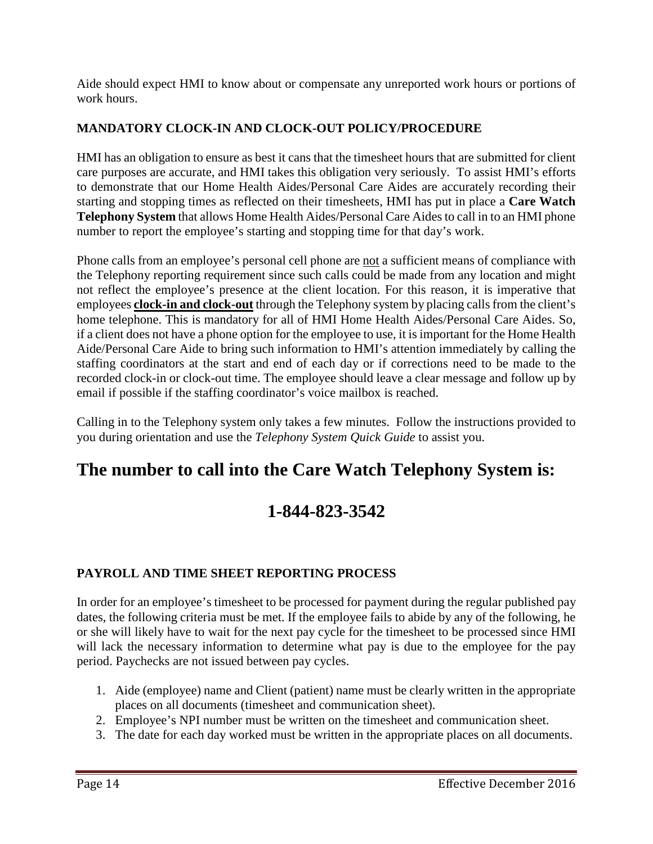Aide should expect HMI to know about or compensate any unreported work hours or portions of work hours.

## **MANDATORY CLOCK-IN AND CLOCK-OUT POLICY/PROCEDURE**

HMI has an obligation to ensure as best it cans that the timesheet hours that are submitted for client care purposes are accurate, and HMI takes this obligation very seriously. To assist HMI's efforts to demonstrate that our Home Health Aides/Personal Care Aides are accurately recording their starting and stopping times as reflected on their timesheets, HMI has put in place a **Care Watch**  Telephony System that allows Home Health Aides/Personal Care Aides to call in to an HMI phone number to report the employee's starting and stopping time for that day's work.

Phone calls from an employee's personal cell phone are not a sufficient means of compliance with the Telephony reporting requirement since such calls could be made from any location and might not reflect the employee's presence at the client location. For this reason, it is imperative that employees **clock-in and clock-out** through the Telephony system by placing calls from the client's home telephone. This is mandatory for all of HMI Home Health Aides/Personal Care Aides. So, if a client does not have a phone option for the employee to use, it is important for the Home Health Aide/Personal Care Aide to bring such information to HMI's attention immediately by calling the staffing coordinators at the start and end of each day or if corrections need to be made to the recorded clock-in or clock-out time. The employee should leave a clear message and follow up by email if possible if the staffing coordinator's voice mailbox is reached.

Calling in to the Telephony system only takes a few minutes. Follow the instructions provided to you during orientation and use the *Telephony System Quick Guide* to assist you.

# **The number to call into the Care Watch Telephony System is:**

# **1-844-823-3542**

## **PAYROLL AND TIME SHEET REPORTING PROCESS**

In order for an employee's timesheet to be processed for payment during the regular published pay dates, the following criteria must be met. If the employee fails to abide by any of the following, he or she will likely have to wait for the next pay cycle for the timesheet to be processed since HMI will lack the necessary information to determine what pay is due to the employee for the pay period. Paychecks are not issued between pay cycles.

- 1. Aide (employee) name and Client (patient) name must be clearly written in the appropriate places on all documents (timesheet and communication sheet).
- 2. Employee's NPI number must be written on the timesheet and communication sheet.
- 3. The date for each day worked must be written in the appropriate places on all documents.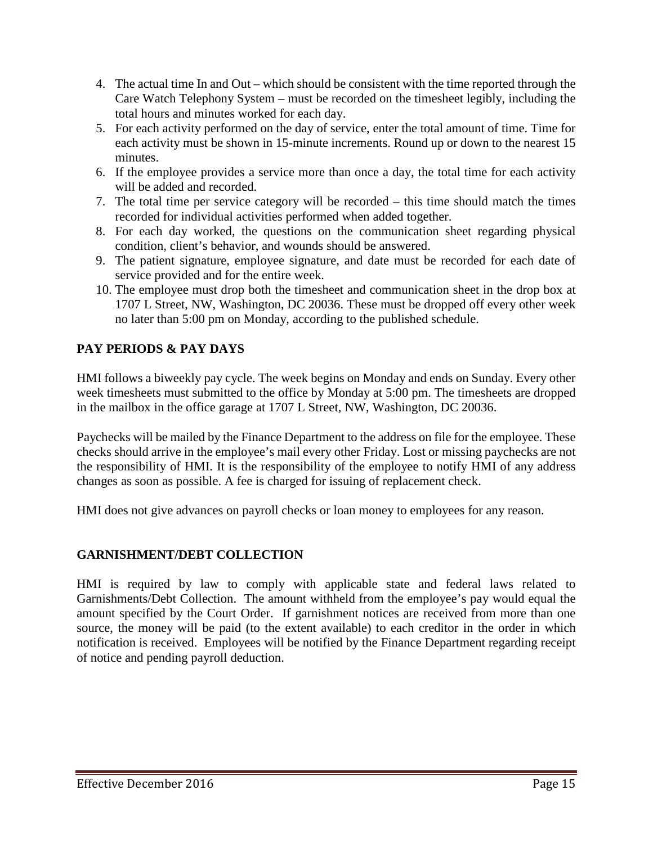- 4. The actual time In and Out which should be consistent with the time reported through the Care Watch Telephony System – must be recorded on the timesheet legibly, including the total hours and minutes worked for each day.
- 5. For each activity performed on the day of service, enter the total amount of time. Time for each activity must be shown in 15-minute increments. Round up or down to the nearest 15 minutes.
- 6. If the employee provides a service more than once a day, the total time for each activity will be added and recorded.
- 7. The total time per service category will be recorded this time should match the times recorded for individual activities performed when added together.
- 8. For each day worked, the questions on the communication sheet regarding physical condition, client's behavior, and wounds should be answered.
- 9. The patient signature, employee signature, and date must be recorded for each date of service provided and for the entire week.
- 10. The employee must drop both the timesheet and communication sheet in the drop box at 1707 L Street, NW, Washington, DC 20036. These must be dropped off every other week no later than 5:00 pm on Monday, according to the published schedule.

## **PAY PERIODS & PAY DAYS**

HMI follows a biweekly pay cycle. The week begins on Monday and ends on Sunday. Every other week timesheets must submitted to the office by Monday at 5:00 pm. The timesheets are dropped in the mailbox in the office garage at 1707 L Street, NW, Washington, DC 20036.

Paychecks will be mailed by the Finance Department to the address on file for the employee. These checks should arrive in the employee's mail every other Friday. Lost or missing paychecks are not the responsibility of HMI. It is the responsibility of the employee to notify HMI of any address changes as soon as possible. A fee is charged for issuing of replacement check.

HMI does not give advances on payroll checks or loan money to employees for any reason.

## **GARNISHMENT/DEBT COLLECTION**

HMI is required by law to comply with applicable state and federal laws related to Garnishments/Debt Collection. The amount withheld from the employee's pay would equal the amount specified by the Court Order. If garnishment notices are received from more than one source, the money will be paid (to the extent available) to each creditor in the order in which notification is received. Employees will be notified by the Finance Department regarding receipt of notice and pending payroll deduction.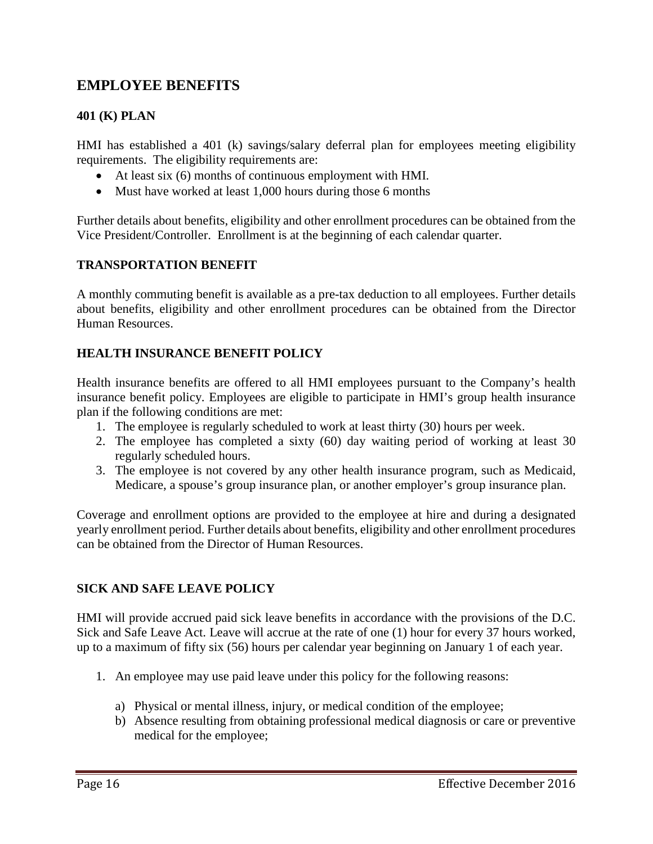## **EMPLOYEE BENEFITS**

## **401 (K) PLAN**

HMI has established a 401 (k) savings/salary deferral plan for employees meeting eligibility requirements. The eligibility requirements are:

- At least six (6) months of continuous employment with HMI.
- Must have worked at least 1,000 hours during those 6 months

Further details about benefits, eligibility and other enrollment procedures can be obtained from the Vice President/Controller. Enrollment is at the beginning of each calendar quarter.

## **TRANSPORTATION BENEFIT**

A monthly commuting benefit is available as a pre-tax deduction to all employees. Further details about benefits, eligibility and other enrollment procedures can be obtained from the Director Human Resources.

## **HEALTH INSURANCE BENEFIT POLICY**

Health insurance benefits are offered to all HMI employees pursuant to the Company's health insurance benefit policy. Employees are eligible to participate in HMI's group health insurance plan if the following conditions are met:

- 1. The employee is regularly scheduled to work at least thirty (30) hours per week.
- 2. The employee has completed a sixty (60) day waiting period of working at least 30 regularly scheduled hours.
- 3. The employee is not covered by any other health insurance program, such as Medicaid, Medicare, a spouse's group insurance plan, or another employer's group insurance plan.

Coverage and enrollment options are provided to the employee at hire and during a designated yearly enrollment period. Further details about benefits, eligibility and other enrollment procedures can be obtained from the Director of Human Resources.

## **SICK AND SAFE LEAVE POLICY**

HMI will provide accrued paid sick leave benefits in accordance with the provisions of the D.C. Sick and Safe Leave Act. Leave will accrue at the rate of one (1) hour for every 37 hours worked, up to a maximum of fifty six (56) hours per calendar year beginning on January 1 of each year.

- 1. An employee may use paid leave under this policy for the following reasons:
	- a) Physical or mental illness, injury, or medical condition of the employee;
	- b) Absence resulting from obtaining professional medical diagnosis or care or preventive medical for the employee;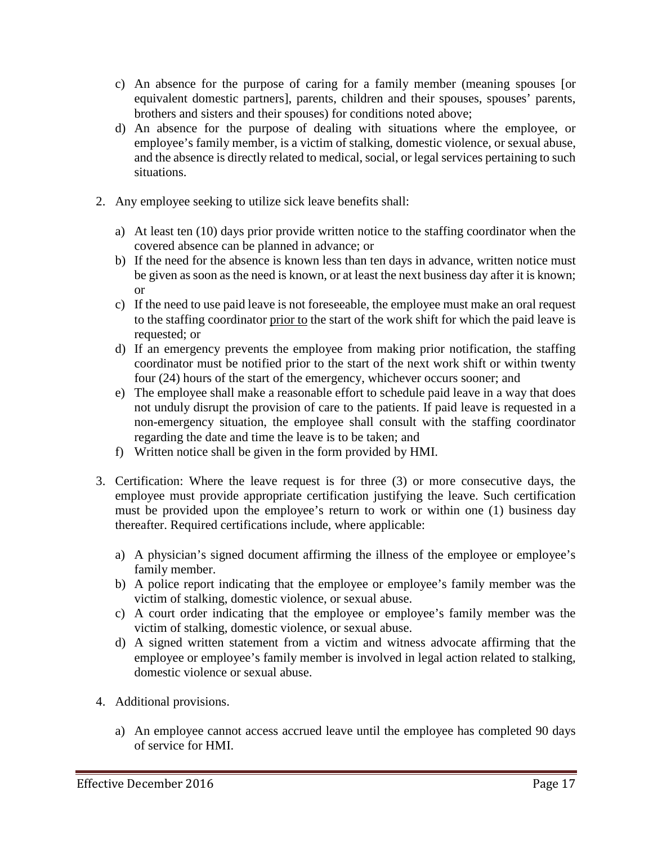- c) An absence for the purpose of caring for a family member (meaning spouses [or equivalent domestic partners], parents, children and their spouses, spouses' parents, brothers and sisters and their spouses) for conditions noted above;
- d) An absence for the purpose of dealing with situations where the employee, or employee's family member, is a victim of stalking, domestic violence, or sexual abuse, and the absence is directly related to medical, social, or legal services pertaining to such situations.
- 2. Any employee seeking to utilize sick leave benefits shall:
	- a) At least ten (10) days prior provide written notice to the staffing coordinator when the covered absence can be planned in advance; or
	- b) If the need for the absence is known less than ten days in advance, written notice must be given as soon as the need is known, or at least the next business day after it is known; or
	- c) If the need to use paid leave is not foreseeable, the employee must make an oral request to the staffing coordinator prior to the start of the work shift for which the paid leave is requested; or
	- d) If an emergency prevents the employee from making prior notification, the staffing coordinator must be notified prior to the start of the next work shift or within twenty four (24) hours of the start of the emergency, whichever occurs sooner; and
	- e) The employee shall make a reasonable effort to schedule paid leave in a way that does not unduly disrupt the provision of care to the patients. If paid leave is requested in a non-emergency situation, the employee shall consult with the staffing coordinator regarding the date and time the leave is to be taken; and
	- f) Written notice shall be given in the form provided by HMI.
- 3. Certification: Where the leave request is for three (3) or more consecutive days, the employee must provide appropriate certification justifying the leave. Such certification must be provided upon the employee's return to work or within one (1) business day thereafter. Required certifications include, where applicable:
	- a) A physician's signed document affirming the illness of the employee or employee's family member.
	- b) A police report indicating that the employee or employee's family member was the victim of stalking, domestic violence, or sexual abuse.
	- c) A court order indicating that the employee or employee's family member was the victim of stalking, domestic violence, or sexual abuse.
	- d) A signed written statement from a victim and witness advocate affirming that the employee or employee's family member is involved in legal action related to stalking, domestic violence or sexual abuse.
- 4. Additional provisions.
	- a) An employee cannot access accrued leave until the employee has completed 90 days of service for HMI.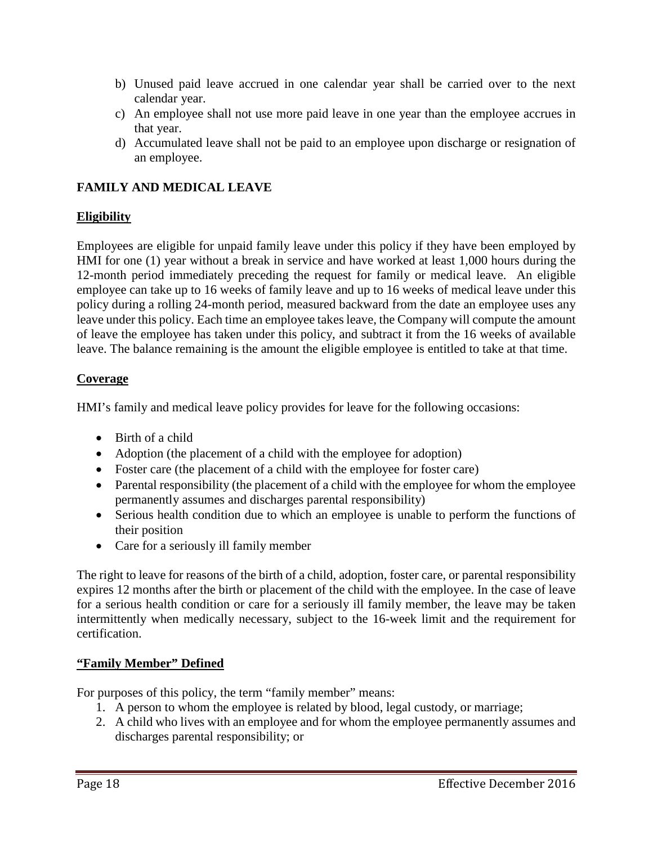- b) Unused paid leave accrued in one calendar year shall be carried over to the next calendar year.
- c) An employee shall not use more paid leave in one year than the employee accrues in that year.
- d) Accumulated leave shall not be paid to an employee upon discharge or resignation of an employee.

## **FAMILY AND MEDICAL LEAVE**

## **Eligibility**

Employees are eligible for unpaid family leave under this policy if they have been employed by HMI for one (1) year without a break in service and have worked at least 1,000 hours during the 12-month period immediately preceding the request for family or medical leave. An eligible employee can take up to 16 weeks of family leave and up to 16 weeks of medical leave under this policy during a rolling 24-month period, measured backward from the date an employee uses any leave under this policy. Each time an employee takes leave, the Company will compute the amount of leave the employee has taken under this policy, and subtract it from the 16 weeks of available leave. The balance remaining is the amount the eligible employee is entitled to take at that time.

## **Coverage**

HMI's family and medical leave policy provides for leave for the following occasions:

- Birth of a child
- Adoption (the placement of a child with the employee for adoption)
- Foster care (the placement of a child with the employee for foster care)
- Parental responsibility (the placement of a child with the employee for whom the employee permanently assumes and discharges parental responsibility)
- Serious health condition due to which an employee is unable to perform the functions of their position
- Care for a seriously ill family member

The right to leave for reasons of the birth of a child, adoption, foster care, or parental responsibility expires 12 months after the birth or placement of the child with the employee. In the case of leave for a serious health condition or care for a seriously ill family member, the leave may be taken intermittently when medically necessary, subject to the 16-week limit and the requirement for certification.

## **"Family Member" Defined**

For purposes of this policy, the term "family member" means:

- 1. A person to whom the employee is related by blood, legal custody, or marriage;
- 2. A child who lives with an employee and for whom the employee permanently assumes and discharges parental responsibility; or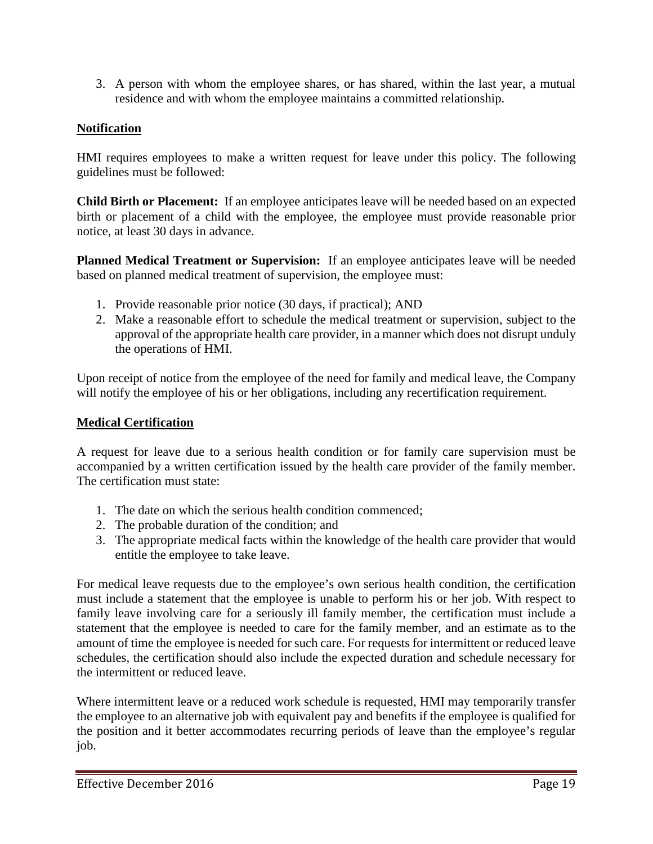3. A person with whom the employee shares, or has shared, within the last year, a mutual residence and with whom the employee maintains a committed relationship.

## **Notification**

HMI requires employees to make a written request for leave under this policy. The following guidelines must be followed:

**Child Birth or Placement:**If an employee anticipates leave will be needed based on an expected birth or placement of a child with the employee, the employee must provide reasonable prior notice, at least 30 days in advance.

**Planned Medical Treatment or Supervision:** If an employee anticipates leave will be needed based on planned medical treatment of supervision, the employee must:

- 1. Provide reasonable prior notice (30 days, if practical); AND
- 2. Make a reasonable effort to schedule the medical treatment or supervision, subject to the approval of the appropriate health care provider, in a manner which does not disrupt unduly the operations of HMI.

Upon receipt of notice from the employee of the need for family and medical leave, the Company will notify the employee of his or her obligations, including any recertification requirement.

## **Medical Certification**

A request for leave due to a serious health condition or for family care supervision must be accompanied by a written certification issued by the health care provider of the family member. The certification must state:

- 1. The date on which the serious health condition commenced;
- 2. The probable duration of the condition; and
- 3. The appropriate medical facts within the knowledge of the health care provider that would entitle the employee to take leave.

For medical leave requests due to the employee's own serious health condition, the certification must include a statement that the employee is unable to perform his or her job. With respect to family leave involving care for a seriously ill family member, the certification must include a statement that the employee is needed to care for the family member, and an estimate as to the amount of time the employee is needed for such care. For requests for intermittent or reduced leave schedules, the certification should also include the expected duration and schedule necessary for the intermittent or reduced leave.

Where intermittent leave or a reduced work schedule is requested, HMI may temporarily transfer the employee to an alternative job with equivalent pay and benefits if the employee is qualified for the position and it better accommodates recurring periods of leave than the employee's regular job.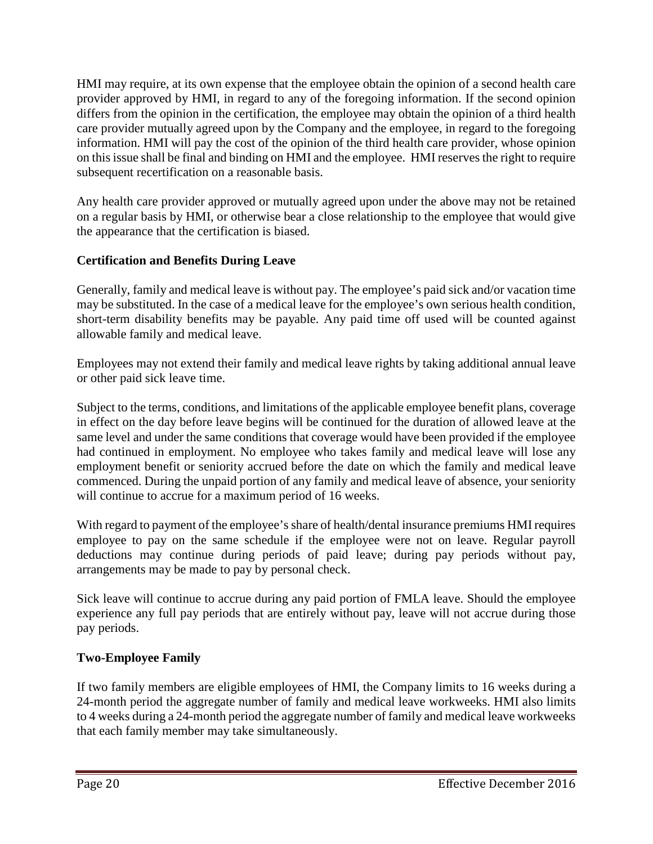HMI may require, at its own expense that the employee obtain the opinion of a second health care provider approved by HMI, in regard to any of the foregoing information. If the second opinion differs from the opinion in the certification, the employee may obtain the opinion of a third health care provider mutually agreed upon by the Company and the employee, in regard to the foregoing information. HMI will pay the cost of the opinion of the third health care provider, whose opinion on this issue shall be final and binding on HMI and the employee. HMI reserves the right to require subsequent recertification on a reasonable basis.

Any health care provider approved or mutually agreed upon under the above may not be retained on a regular basis by HMI, or otherwise bear a close relationship to the employee that would give the appearance that the certification is biased.

## **Certification and Benefits During Leave**

Generally, family and medical leave is without pay. The employee's paid sick and/or vacation time may be substituted. In the case of a medical leave for the employee's own serious health condition, short-term disability benefits may be payable. Any paid time off used will be counted against allowable family and medical leave.

Employees may not extend their family and medical leave rights by taking additional annual leave or other paid sick leave time.

Subject to the terms, conditions, and limitations of the applicable employee benefit plans, coverage in effect on the day before leave begins will be continued for the duration of allowed leave at the same level and under the same conditions that coverage would have been provided if the employee had continued in employment. No employee who takes family and medical leave will lose any employment benefit or seniority accrued before the date on which the family and medical leave commenced. During the unpaid portion of any family and medical leave of absence, your seniority will continue to accrue for a maximum period of 16 weeks.

With regard to payment of the employee's share of health/dental insurance premiums HMI requires employee to pay on the same schedule if the employee were not on leave. Regular payroll deductions may continue during periods of paid leave; during pay periods without pay, arrangements may be made to pay by personal check.

Sick leave will continue to accrue during any paid portion of FMLA leave. Should the employee experience any full pay periods that are entirely without pay, leave will not accrue during those pay periods.

## **Two-Employee Family**

If two family members are eligible employees of HMI, the Company limits to 16 weeks during a 24-month period the aggregate number of family and medical leave workweeks. HMI also limits to 4 weeks during a 24-month period the aggregate number of family and medical leave workweeks that each family member may take simultaneously.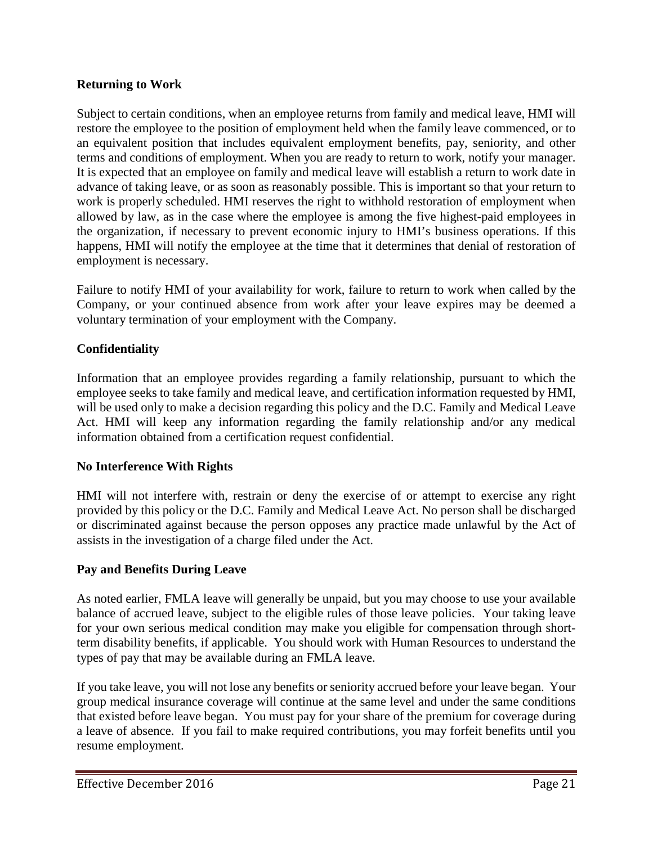## **Returning to Work**

Subject to certain conditions, when an employee returns from family and medical leave, HMI will restore the employee to the position of employment held when the family leave commenced, or to an equivalent position that includes equivalent employment benefits, pay, seniority, and other terms and conditions of employment. When you are ready to return to work, notify your manager. It is expected that an employee on family and medical leave will establish a return to work date in advance of taking leave, or as soon as reasonably possible. This is important so that your return to work is properly scheduled. HMI reserves the right to withhold restoration of employment when allowed by law, as in the case where the employee is among the five highest-paid employees in the organization, if necessary to prevent economic injury to HMI's business operations. If this happens, HMI will notify the employee at the time that it determines that denial of restoration of employment is necessary.

Failure to notify HMI of your availability for work, failure to return to work when called by the Company, or your continued absence from work after your leave expires may be deemed a voluntary termination of your employment with the Company.

## **Confidentiality**

Information that an employee provides regarding a family relationship, pursuant to which the employee seeks to take family and medical leave, and certification information requested by HMI, will be used only to make a decision regarding this policy and the D.C. Family and Medical Leave Act. HMI will keep any information regarding the family relationship and/or any medical information obtained from a certification request confidential.

#### **No Interference With Rights**

HMI will not interfere with, restrain or deny the exercise of or attempt to exercise any right provided by this policy or the D.C. Family and Medical Leave Act. No person shall be discharged or discriminated against because the person opposes any practice made unlawful by the Act of assists in the investigation of a charge filed under the Act.

#### **Pay and Benefits During Leave**

As noted earlier, FMLA leave will generally be unpaid, but you may choose to use your available balance of accrued leave, subject to the eligible rules of those leave policies. Your taking leave for your own serious medical condition may make you eligible for compensation through shortterm disability benefits, if applicable. You should work with Human Resources to understand the types of pay that may be available during an FMLA leave.

If you take leave, you will not lose any benefits or seniority accrued before your leave began. Your group medical insurance coverage will continue at the same level and under the same conditions that existed before leave began. You must pay for your share of the premium for coverage during a leave of absence. If you fail to make required contributions, you may forfeit benefits until you resume employment.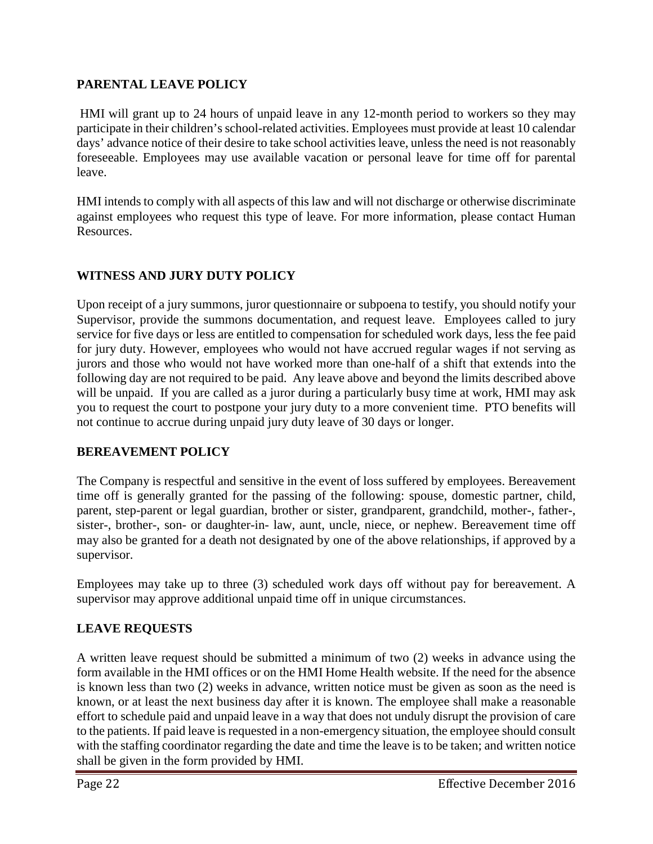## **PARENTAL LEAVE POLICY**

HMI will grant up to 24 hours of unpaid leave in any 12-month period to workers so they may participate in their children's school-related activities. Employees must provide at least 10 calendar days' advance notice of their desire to take school activities leave, unless the need is not reasonably foreseeable. Employees may use available vacation or personal leave for time off for parental leave.

HMI intends to comply with all aspects of this law and will not discharge or otherwise discriminate against employees who request this type of leave. For more information, please contact Human Resources.

## **WITNESS AND JURY DUTY POLICY**

Upon receipt of a jury summons, juror questionnaire or subpoena to testify, you should notify your Supervisor, provide the summons documentation, and request leave. Employees called to jury service for five days or less are entitled to compensation for scheduled work days, less the fee paid for jury duty. However, employees who would not have accrued regular wages if not serving as jurors and those who would not have worked more than one-half of a shift that extends into the following day are not required to be paid. Any leave above and beyond the limits described above will be unpaid. If you are called as a juror during a particularly busy time at work, HMI may ask you to request the court to postpone your jury duty to a more convenient time. PTO benefits will not continue to accrue during unpaid jury duty leave of 30 days or longer.

## **BEREAVEMENT POLICY**

The Company is respectful and sensitive in the event of loss suffered by employees. Bereavement time off is generally granted for the passing of the following: spouse, domestic partner, child, parent, step-parent or legal guardian, brother or sister, grandparent, grandchild, mother-, father-, sister-, brother-, son- or daughter-in- law, aunt, uncle, niece, or nephew. Bereavement time off may also be granted for a death not designated by one of the above relationships, if approved by a supervisor.

Employees may take up to three (3) scheduled work days off without pay for bereavement. A supervisor may approve additional unpaid time off in unique circumstances.

## **LEAVE REQUESTS**

A written leave request should be submitted a minimum of two (2) weeks in advance using the form available in the HMI offices or on the HMI Home Health website. If the need for the absence is known less than two (2) weeks in advance, written notice must be given as soon as the need is known, or at least the next business day after it is known. The employee shall make a reasonable effort to schedule paid and unpaid leave in a way that does not unduly disrupt the provision of care to the patients. If paid leave is requested in a non-emergency situation, the employee should consult with the staffing coordinator regarding the date and time the leave is to be taken; and written notice shall be given in the form provided by HMI.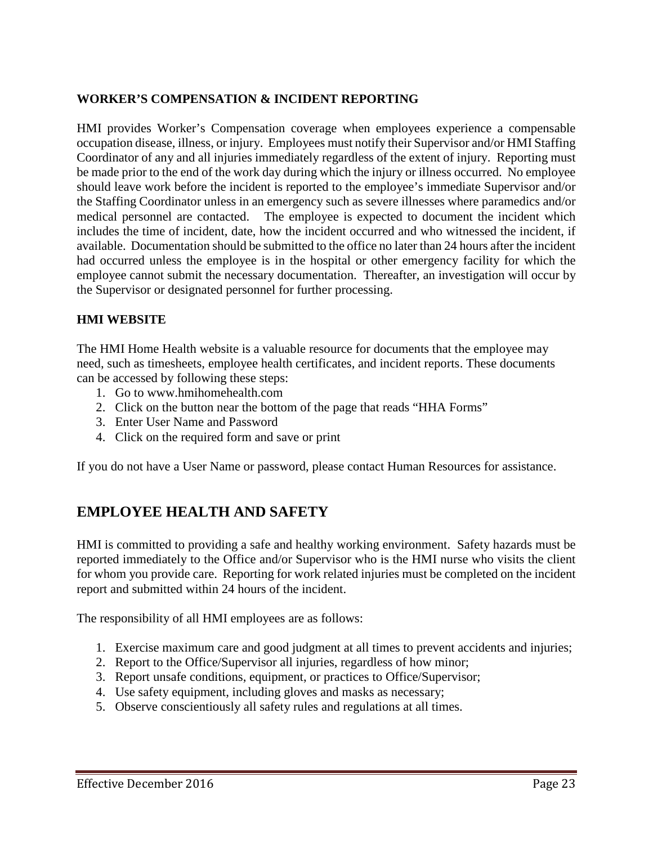## **WORKER'S COMPENSATION & INCIDENT REPORTING**

HMI provides Worker's Compensation coverage when employees experience a compensable occupation disease, illness, or injury. Employees must notify their Supervisor and/or HMI Staffing Coordinator of any and all injuries immediately regardless of the extent of injury. Reporting must be made prior to the end of the work day during which the injury or illness occurred. No employee should leave work before the incident is reported to the employee's immediate Supervisor and/or the Staffing Coordinator unless in an emergency such as severe illnesses where paramedics and/or medical personnel are contacted. The employee is expected to document the incident which includes the time of incident, date, how the incident occurred and who witnessed the incident, if available. Documentation should be submitted to the office no later than 24 hours after the incident had occurred unless the employee is in the hospital or other emergency facility for which the employee cannot submit the necessary documentation. Thereafter, an investigation will occur by the Supervisor or designated personnel for further processing.

## **HMI WEBSITE**

The HMI Home Health website is a valuable resource for documents that the employee may need, such as timesheets, employee health certificates, and incident reports. These documents can be accessed by following these steps:

- 1. Go to www.hmihomehealth.com
- 2. Click on the button near the bottom of the page that reads "HHA Forms"
- 3. Enter User Name and Password
- 4. Click on the required form and save or print

If you do not have a User Name or password, please contact Human Resources for assistance.

## **EMPLOYEE HEALTH AND SAFETY**

HMI is committed to providing a safe and healthy working environment. Safety hazards must be reported immediately to the Office and/or Supervisor who is the HMI nurse who visits the client for whom you provide care. Reporting for work related injuries must be completed on the incident report and submitted within 24 hours of the incident.

The responsibility of all HMI employees are as follows:

- 1. Exercise maximum care and good judgment at all times to prevent accidents and injuries;
- 2. Report to the Office/Supervisor all injuries, regardless of how minor;
- 3. Report unsafe conditions, equipment, or practices to Office/Supervisor;
- 4. Use safety equipment, including gloves and masks as necessary;
- 5. Observe conscientiously all safety rules and regulations at all times.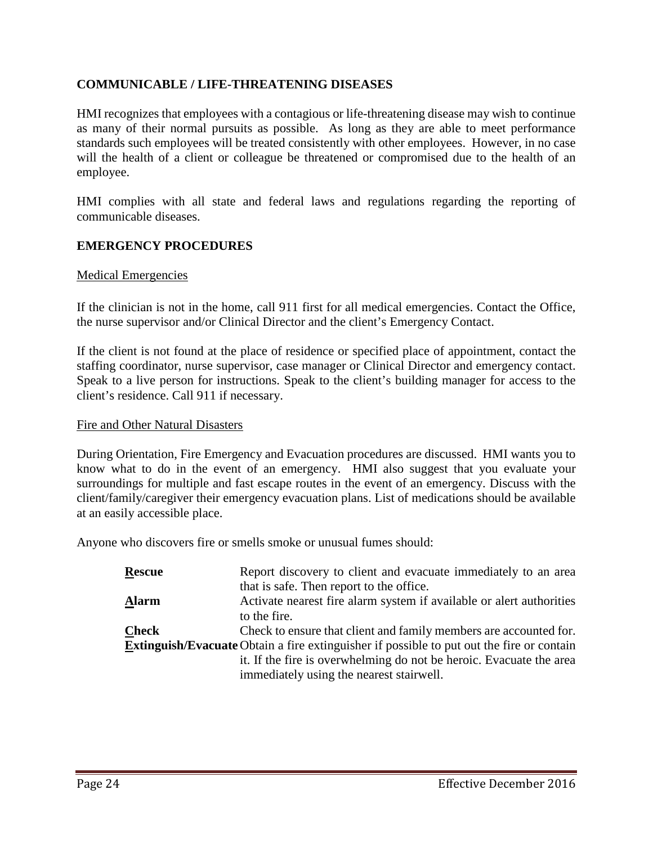## **COMMUNICABLE / LIFE-THREATENING DISEASES**

HMI recognizes that employees with a contagious or life-threatening disease may wish to continue as many of their normal pursuits as possible. As long as they are able to meet performance standards such employees will be treated consistently with other employees. However, in no case will the health of a client or colleague be threatened or compromised due to the health of an employee.

HMI complies with all state and federal laws and regulations regarding the reporting of communicable diseases.

## **EMERGENCY PROCEDURES**

#### Medical Emergencies

If the clinician is not in the home, call 911 first for all medical emergencies. Contact the Office, the nurse supervisor and/or Clinical Director and the client's Emergency Contact.

If the client is not found at the place of residence or specified place of appointment, contact the staffing coordinator, nurse supervisor, case manager or Clinical Director and emergency contact. Speak to a live person for instructions. Speak to the client's building manager for access to the client's residence. Call 911 if necessary.

#### Fire and Other Natural Disasters

During Orientation, Fire Emergency and Evacuation procedures are discussed. HMI wants you to know what to do in the event of an emergency. HMI also suggest that you evaluate your surroundings for multiple and fast escape routes in the event of an emergency. Discuss with the client/family/caregiver their emergency evacuation plans. List of medications should be available at an easily accessible place.

Anyone who discovers fire or smells smoke or unusual fumes should:

| <b>Rescue</b>                                                                                    | Report discovery to client and evacuate immediately to an area       |  |
|--------------------------------------------------------------------------------------------------|----------------------------------------------------------------------|--|
|                                                                                                  | that is safe. Then report to the office.                             |  |
| <b>Alarm</b>                                                                                     | Activate nearest fire alarm system if available or alert authorities |  |
|                                                                                                  | to the fire.                                                         |  |
| <b>Check</b>                                                                                     | Check to ensure that client and family members are accounted for.    |  |
| <b>Extinguish/Evacuate</b> Obtain a fire extinguisher if possible to put out the fire or contain |                                                                      |  |
|                                                                                                  | it. If the fire is overwhelming do not be heroic. Evacuate the area  |  |
|                                                                                                  | immediately using the nearest stairwell.                             |  |
|                                                                                                  |                                                                      |  |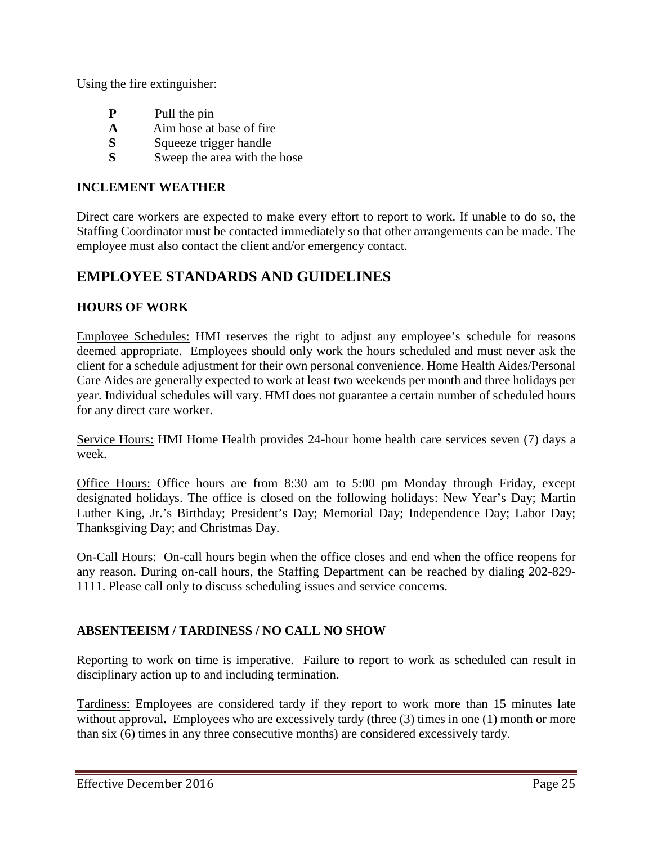Using the fire extinguisher:

- **P** Pull the pin
- **A** Aim hose at base of fire
- **S** Squeeze trigger handle
- **S** Sweep the area with the hose

## **INCLEMENT WEATHER**

Direct care workers are expected to make every effort to report to work. If unable to do so, the Staffing Coordinator must be contacted immediately so that other arrangements can be made. The employee must also contact the client and/or emergency contact.

## **EMPLOYEE STANDARDS AND GUIDELINES**

#### **HOURS OF WORK**

Employee Schedules: HMI reserves the right to adjust any employee's schedule for reasons deemed appropriate. Employees should only work the hours scheduled and must never ask the client for a schedule adjustment for their own personal convenience. Home Health Aides/Personal Care Aides are generally expected to work at least two weekends per month and three holidays per year. Individual schedules will vary. HMI does not guarantee a certain number of scheduled hours for any direct care worker.

Service Hours: HMI Home Health provides 24-hour home health care services seven (7) days a week.

Office Hours: Office hours are from 8:30 am to 5:00 pm Monday through Friday, except designated holidays. The office is closed on the following holidays: New Year's Day; Martin Luther King, Jr.'s Birthday; President's Day; Memorial Day; Independence Day; Labor Day; Thanksgiving Day; and Christmas Day.

On-Call Hours: On-call hours begin when the office closes and end when the office reopens for any reason. During on-call hours, the Staffing Department can be reached by dialing 202-829- 1111. Please call only to discuss scheduling issues and service concerns.

#### **ABSENTEEISM / TARDINESS / NO CALL NO SHOW**

Reporting to work on time is imperative. Failure to report to work as scheduled can result in disciplinary action up to and including termination.

Tardiness: Employees are considered tardy if they report to work more than 15 minutes late without approval. Employees who are excessively tardy (three  $(3)$  times in one  $(1)$  month or more than six (6) times in any three consecutive months) are considered excessively tardy.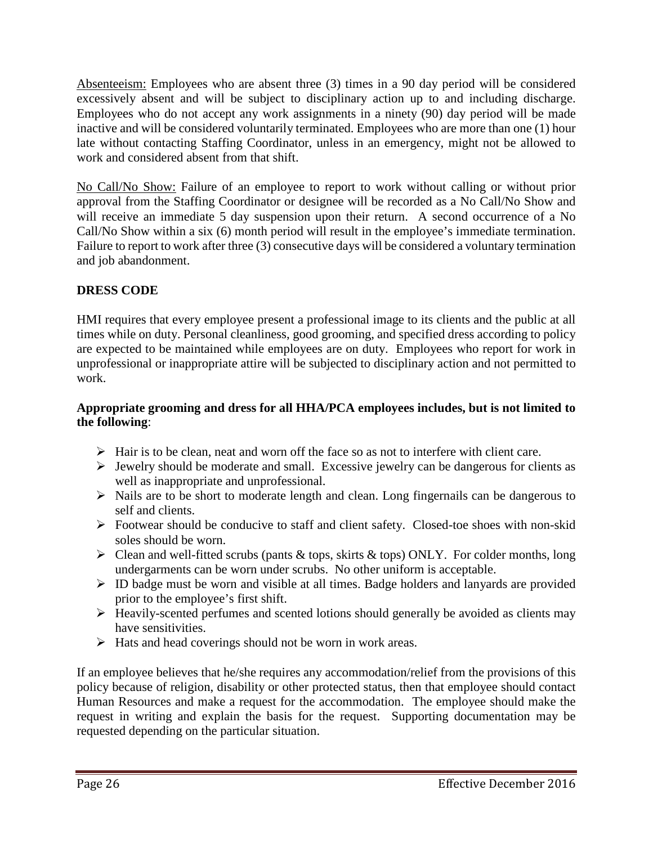Absenteeism: Employees who are absent three (3) times in a 90 day period will be considered excessively absent and will be subject to disciplinary action up to and including discharge. Employees who do not accept any work assignments in a ninety (90) day period will be made inactive and will be considered voluntarily terminated. Employees who are more than one (1) hour late without contacting Staffing Coordinator, unless in an emergency, might not be allowed to work and considered absent from that shift.

No Call/No Show: Failure of an employee to report to work without calling or without prior approval from the Staffing Coordinator or designee will be recorded as a No Call/No Show and will receive an immediate 5 day suspension upon their return. A second occurrence of a No Call/No Show within a six (6) month period will result in the employee's immediate termination. Failure to report to work after three (3) consecutive days will be considered a voluntary termination and job abandonment.

## **DRESS CODE**

HMI requires that every employee present a professional image to its clients and the public at all times while on duty. Personal cleanliness, good grooming, and specified dress according to policy are expected to be maintained while employees are on duty. Employees who report for work in unprofessional or inappropriate attire will be subjected to disciplinary action and not permitted to work.

## **Appropriate grooming and dress for all HHA/PCA employees includes, but is not limited to the following**:

- $\triangleright$  Hair is to be clean, neat and worn off the face so as not to interfere with client care.
- Jewelry should be moderate and small. Excessive jewelry can be dangerous for clients as well as inappropriate and unprofessional.
- Nails are to be short to moderate length and clean. Long fingernails can be dangerous to self and clients.
- Footwear should be conducive to staff and client safety. Closed-toe shoes with non-skid soles should be worn.
- $\triangleright$  Clean and well-fitted scrubs (pants & tops, skirts & tops) ONLY. For colder months, long undergarments can be worn under scrubs. No other uniform is acceptable.
- $\triangleright$  ID badge must be worn and visible at all times. Badge holders and lanyards are provided prior to the employee's first shift.
- $\triangleright$  Heavily-scented perfumes and scented lotions should generally be avoided as clients may have sensitivities.
- $\triangleright$  Hats and head coverings should not be worn in work areas.

If an employee believes that he/she requires any accommodation/relief from the provisions of this policy because of religion, disability or other protected status, then that employee should contact Human Resources and make a request for the accommodation. The employee should make the request in writing and explain the basis for the request. Supporting documentation may be requested depending on the particular situation.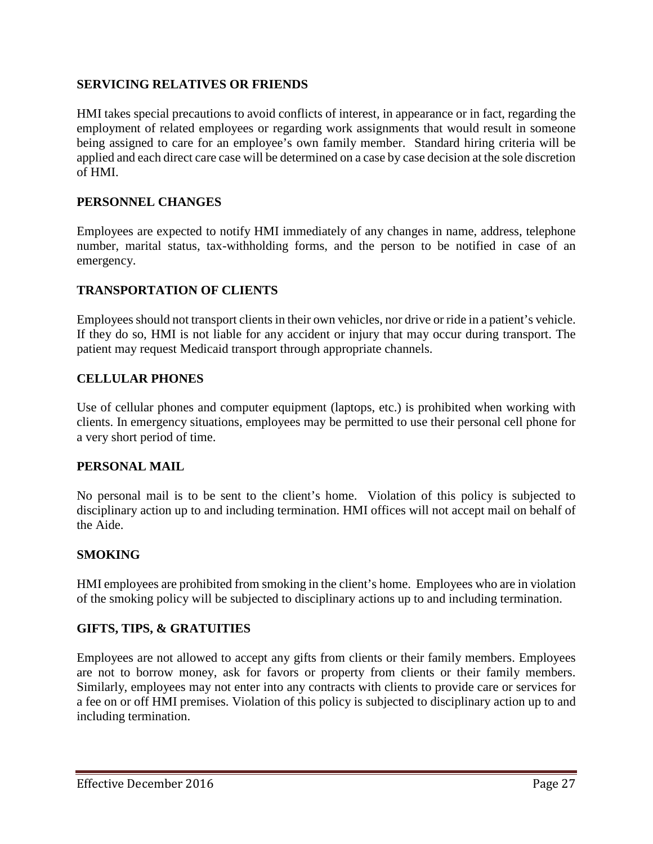## **SERVICING RELATIVES OR FRIENDS**

HMI takes special precautions to avoid conflicts of interest, in appearance or in fact, regarding the employment of related employees or regarding work assignments that would result in someone being assigned to care for an employee's own family member. Standard hiring criteria will be applied and each direct care case will be determined on a case by case decision at the sole discretion of HMI.

## **PERSONNEL CHANGES**

Employees are expected to notify HMI immediately of any changes in name, address, telephone number, marital status, tax-withholding forms, and the person to be notified in case of an emergency.

## **TRANSPORTATION OF CLIENTS**

Employees should not transport clients in their own vehicles, nor drive or ride in a patient's vehicle. If they do so, HMI is not liable for any accident or injury that may occur during transport. The patient may request Medicaid transport through appropriate channels.

## **CELLULAR PHONES**

Use of cellular phones and computer equipment (laptops, etc.) is prohibited when working with clients. In emergency situations, employees may be permitted to use their personal cell phone for a very short period of time.

#### **PERSONAL MAIL**

No personal mail is to be sent to the client's home. Violation of this policy is subjected to disciplinary action up to and including termination. HMI offices will not accept mail on behalf of the Aide.

#### **SMOKING**

HMI employees are prohibited from smoking in the client's home. Employees who are in violation of the smoking policy will be subjected to disciplinary actions up to and including termination.

#### **GIFTS, TIPS, & GRATUITIES**

Employees are not allowed to accept any gifts from clients or their family members. Employees are not to borrow money, ask for favors or property from clients or their family members. Similarly, employees may not enter into any contracts with clients to provide care or services for a fee on or off HMI premises. Violation of this policy is subjected to disciplinary action up to and including termination.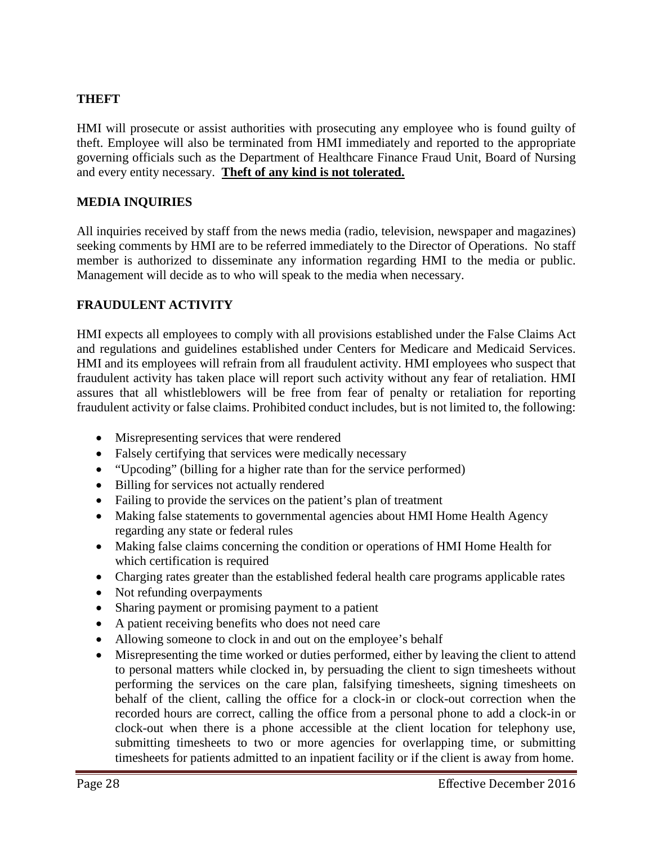## **THEFT**

HMI will prosecute or assist authorities with prosecuting any employee who is found guilty of theft. Employee will also be terminated from HMI immediately and reported to the appropriate governing officials such as the Department of Healthcare Finance Fraud Unit, Board of Nursing and every entity necessary. **Theft of any kind is not tolerated.**

## **MEDIA INQUIRIES**

All inquiries received by staff from the news media (radio, television, newspaper and magazines) seeking comments by HMI are to be referred immediately to the Director of Operations. No staff member is authorized to disseminate any information regarding HMI to the media or public. Management will decide as to who will speak to the media when necessary.

## **FRAUDULENT ACTIVITY**

HMI expects all employees to comply with all provisions established under the False Claims Act and regulations and guidelines established under Centers for Medicare and Medicaid Services. HMI and its employees will refrain from all fraudulent activity. HMI employees who suspect that fraudulent activity has taken place will report such activity without any fear of retaliation. HMI assures that all whistleblowers will be free from fear of penalty or retaliation for reporting fraudulent activity or false claims. Prohibited conduct includes, but is not limited to, the following:

- Misrepresenting services that were rendered
- Falsely certifying that services were medically necessary
- "Upcoding" (billing for a higher rate than for the service performed)
- Billing for services not actually rendered
- Failing to provide the services on the patient's plan of treatment
- Making false statements to governmental agencies about HMI Home Health Agency regarding any state or federal rules
- Making false claims concerning the condition or operations of HMI Home Health for which certification is required
- Charging rates greater than the established federal health care programs applicable rates
- Not refunding overpayments
- Sharing payment or promising payment to a patient
- A patient receiving benefits who does not need care
- Allowing someone to clock in and out on the employee's behalf
- Misrepresenting the time worked or duties performed, either by leaving the client to attend to personal matters while clocked in, by persuading the client to sign timesheets without performing the services on the care plan, falsifying timesheets, signing timesheets on behalf of the client, calling the office for a clock-in or clock-out correction when the recorded hours are correct, calling the office from a personal phone to add a clock-in or clock-out when there is a phone accessible at the client location for telephony use, submitting timesheets to two or more agencies for overlapping time, or submitting timesheets for patients admitted to an inpatient facility or if the client is away from home.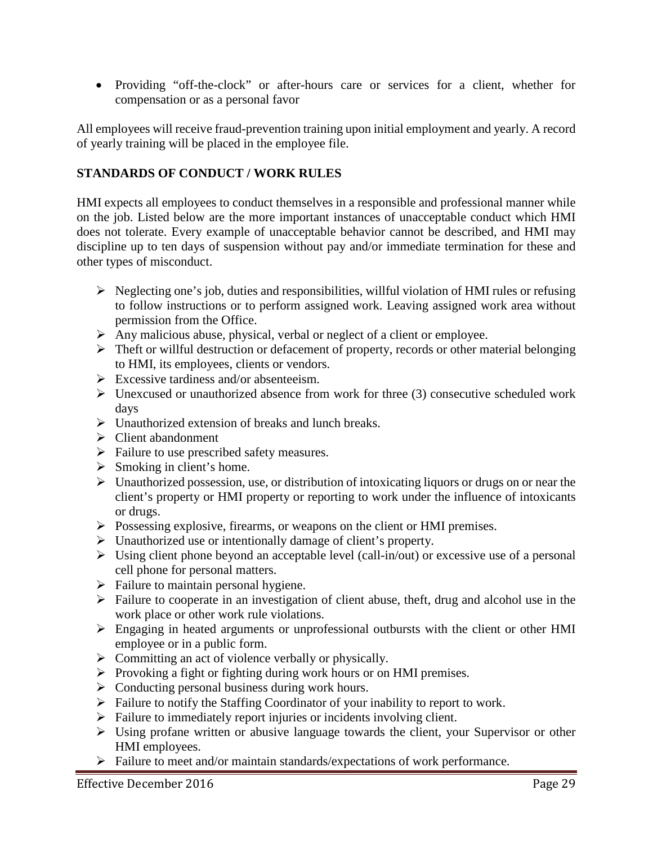• Providing "off-the-clock" or after-hours care or services for a client, whether for compensation or as a personal favor

All employees will receive fraud-prevention training upon initial employment and yearly. A record of yearly training will be placed in the employee file.

## **STANDARDS OF CONDUCT / WORK RULES**

HMI expects all employees to conduct themselves in a responsible and professional manner while on the job. Listed below are the more important instances of unacceptable conduct which HMI does not tolerate. Every example of unacceptable behavior cannot be described, and HMI may discipline up to ten days of suspension without pay and/or immediate termination for these and other types of misconduct.

- $\triangleright$  Neglecting one's job, duties and responsibilities, willful violation of HMI rules or refusing to follow instructions or to perform assigned work. Leaving assigned work area without permission from the Office.
- $\triangleright$  Any malicious abuse, physical, verbal or neglect of a client or employee.
- Theft or willful destruction or defacement of property, records or other material belonging to HMI, its employees, clients or vendors.
- $\triangleright$  Excessive tardiness and/or absenteeism.
- $\triangleright$  Unexcused or unauthorized absence from work for three (3) consecutive scheduled work days
- $\triangleright$  Unauthorized extension of breaks and lunch breaks.
- $\triangleright$  Client abandonment
- $\triangleright$  Failure to use prescribed safety measures.
- $\triangleright$  Smoking in client's home.
- $\triangleright$  Unauthorized possession, use, or distribution of intoxicating liquors or drugs on or near the client's property or HMI property or reporting to work under the influence of intoxicants or drugs.
- $\triangleright$  Possessing explosive, firearms, or weapons on the client or HMI premises.
- Unauthorized use or intentionally damage of client's property.
- $\triangleright$  Using client phone beyond an acceptable level (call-in/out) or excessive use of a personal cell phone for personal matters.
- $\triangleright$  Failure to maintain personal hygiene.
- $\triangleright$  Failure to cooperate in an investigation of client abuse, theft, drug and alcohol use in the work place or other work rule violations.
- Engaging in heated arguments or unprofessional outbursts with the client or other HMI employee or in a public form.
- $\triangleright$  Committing an act of violence verbally or physically.
- $\triangleright$  Provoking a fight or fighting during work hours or on HMI premises.
- $\triangleright$  Conducting personal business during work hours.
- $\triangleright$  Failure to notify the Staffing Coordinator of your inability to report to work.
- $\triangleright$  Failure to immediately report injuries or incidents involving client.
- $\triangleright$  Using profane written or abusive language towards the client, your Supervisor or other HMI employees.
- $\triangleright$  Failure to meet and/or maintain standards/expectations of work performance.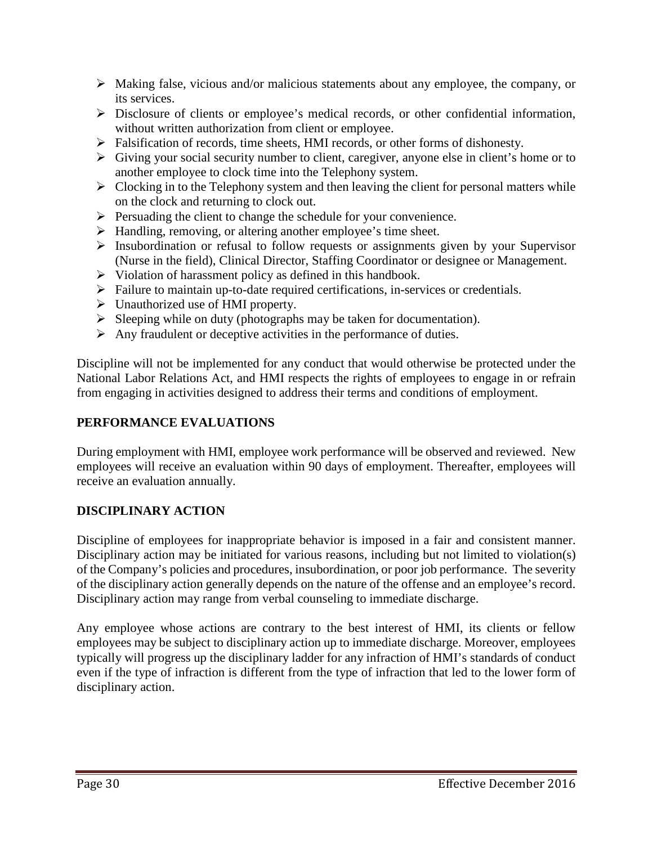- $\triangleright$  Making false, vicious and/or malicious statements about any employee, the company, or its services.
- $\triangleright$  Disclosure of clients or employee's medical records, or other confidential information, without written authorization from client or employee.
- $\triangleright$  Falsification of records, time sheets, HMI records, or other forms of dishonesty.
- $\triangleright$  Giving your social security number to client, caregiver, anyone else in client's home or to another employee to clock time into the Telephony system.
- $\triangleright$  Clocking in to the Telephony system and then leaving the client for personal matters while on the clock and returning to clock out.
- $\triangleright$  Persuading the client to change the schedule for your convenience.
- $\triangleright$  Handling, removing, or altering another employee's time sheet.
- $\triangleright$  Insubordination or refusal to follow requests or assignments given by your Supervisor (Nurse in the field), Clinical Director, Staffing Coordinator or designee or Management.
- $\triangleright$  Violation of harassment policy as defined in this handbook.
- $\triangleright$  Failure to maintain up-to-date required certifications, in-services or credentials.
- Unauthorized use of HMI property.
- $\triangleright$  Sleeping while on duty (photographs may be taken for documentation).
- $\triangleright$  Any fraudulent or deceptive activities in the performance of duties.

Discipline will not be implemented for any conduct that would otherwise be protected under the National Labor Relations Act, and HMI respects the rights of employees to engage in or refrain from engaging in activities designed to address their terms and conditions of employment.

## **PERFORMANCE EVALUATIONS**

During employment with HMI, employee work performance will be observed and reviewed. New employees will receive an evaluation within 90 days of employment. Thereafter, employees will receive an evaluation annually.

## **DISCIPLINARY ACTION**

Discipline of employees for inappropriate behavior is imposed in a fair and consistent manner. Disciplinary action may be initiated for various reasons, including but not limited to violation(s) of the Company's policies and procedures, insubordination, or poor job performance. The severity of the disciplinary action generally depends on the nature of the offense and an employee's record. Disciplinary action may range from verbal counseling to immediate discharge.

Any employee whose actions are contrary to the best interest of HMI, its clients or fellow employees may be subject to disciplinary action up to immediate discharge. Moreover, employees typically will progress up the disciplinary ladder for any infraction of HMI's standards of conduct even if the type of infraction is different from the type of infraction that led to the lower form of disciplinary action.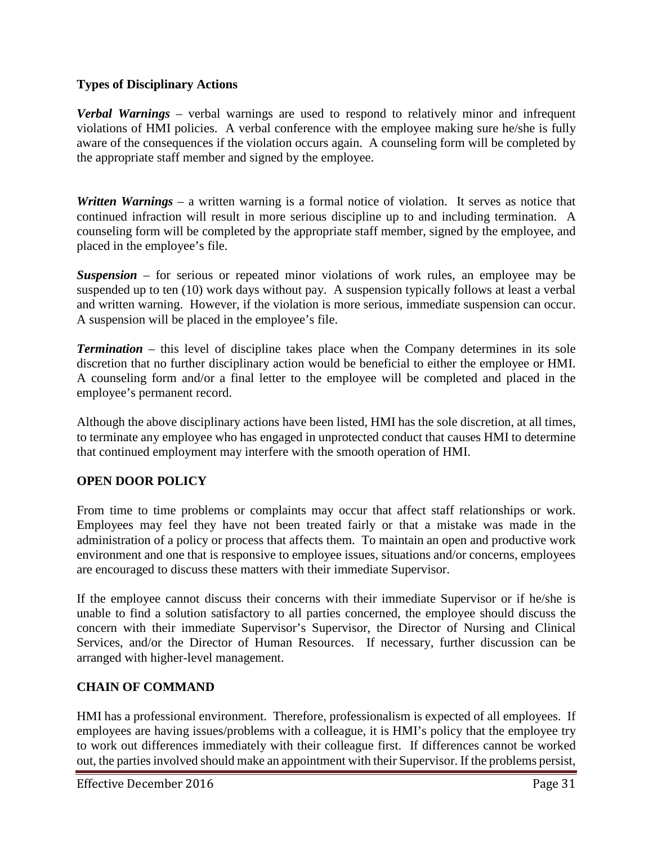## **Types of Disciplinary Actions**

*Verbal Warnings* – verbal warnings are used to respond to relatively minor and infrequent violations of HMI policies. A verbal conference with the employee making sure he/she is fully aware of the consequences if the violation occurs again. A counseling form will be completed by the appropriate staff member and signed by the employee.

*Written Warnings* – a written warning is a formal notice of violation. It serves as notice that continued infraction will result in more serious discipline up to and including termination. A counseling form will be completed by the appropriate staff member, signed by the employee, and placed in the employee's file.

*Suspension* – for serious or repeated minor violations of work rules, an employee may be suspended up to ten (10) work days without pay. A suspension typically follows at least a verbal and written warning. However, if the violation is more serious, immediate suspension can occur. A suspension will be placed in the employee's file.

*Termination* – this level of discipline takes place when the Company determines in its sole discretion that no further disciplinary action would be beneficial to either the employee or HMI. A counseling form and/or a final letter to the employee will be completed and placed in the employee's permanent record.

Although the above disciplinary actions have been listed, HMI has the sole discretion, at all times, to terminate any employee who has engaged in unprotected conduct that causes HMI to determine that continued employment may interfere with the smooth operation of HMI.

## **OPEN DOOR POLICY**

From time to time problems or complaints may occur that affect staff relationships or work. Employees may feel they have not been treated fairly or that a mistake was made in the administration of a policy or process that affects them. To maintain an open and productive work environment and one that is responsive to employee issues, situations and/or concerns, employees are encouraged to discuss these matters with their immediate Supervisor.

If the employee cannot discuss their concerns with their immediate Supervisor or if he/she is unable to find a solution satisfactory to all parties concerned, the employee should discuss the concern with their immediate Supervisor's Supervisor, the Director of Nursing and Clinical Services, and/or the Director of Human Resources. If necessary, further discussion can be arranged with higher-level management.

#### **CHAIN OF COMMAND**

HMI has a professional environment. Therefore, professionalism is expected of all employees. If employees are having issues/problems with a colleague, it is HMI's policy that the employee try to work out differences immediately with their colleague first. If differences cannot be worked out, the parties involved should make an appointment with their Supervisor. If the problems persist,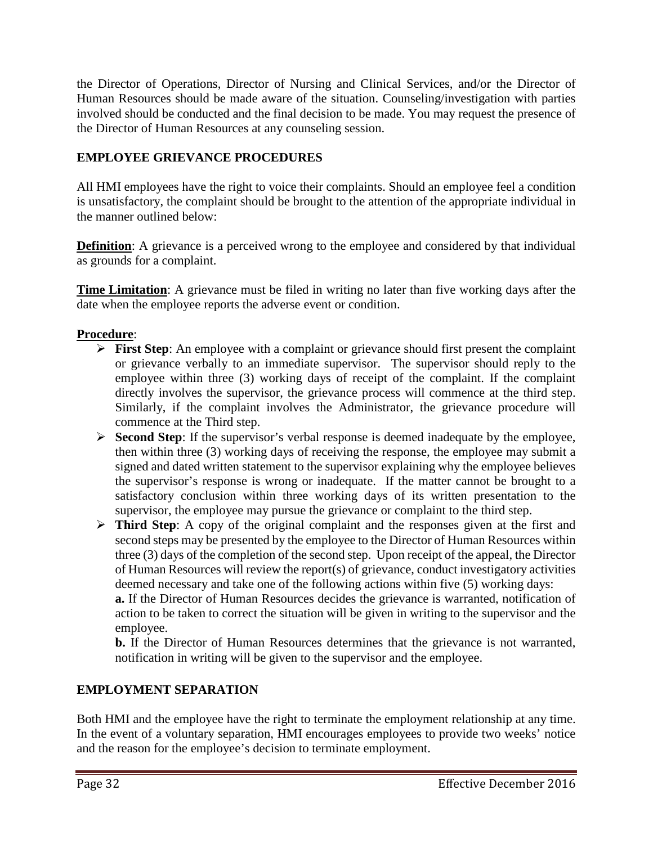the Director of Operations, Director of Nursing and Clinical Services, and/or the Director of Human Resources should be made aware of the situation. Counseling/investigation with parties involved should be conducted and the final decision to be made. You may request the presence of the Director of Human Resources at any counseling session.

## **EMPLOYEE GRIEVANCE PROCEDURES**

All HMI employees have the right to voice their complaints. Should an employee feel a condition is unsatisfactory, the complaint should be brought to the attention of the appropriate individual in the manner outlined below:

**Definition**: A grievance is a perceived wrong to the employee and considered by that individual as grounds for a complaint.

**Time Limitation**: A grievance must be filed in writing no later than five working days after the date when the employee reports the adverse event or condition.

## **Procedure**:

- **First Step**: An employee with a complaint or grievance should first present the complaint or grievance verbally to an immediate supervisor. The supervisor should reply to the employee within three (3) working days of receipt of the complaint. If the complaint directly involves the supervisor, the grievance process will commence at the third step. Similarly, if the complaint involves the Administrator, the grievance procedure will commence at the Third step.
- **Second Step**: If the supervisor's verbal response is deemed inadequate by the employee, then within three (3) working days of receiving the response, the employee may submit a signed and dated written statement to the supervisor explaining why the employee believes the supervisor's response is wrong or inadequate. If the matter cannot be brought to a satisfactory conclusion within three working days of its written presentation to the supervisor, the employee may pursue the grievance or complaint to the third step.
- **Third Step**: A copy of the original complaint and the responses given at the first and second steps may be presented by the employee to the Director of Human Resources within three (3) days of the completion of the second step. Upon receipt of the appeal, the Director of Human Resources will review the report(s) of grievance, conduct investigatory activities deemed necessary and take one of the following actions within five (5) working days: **a.** If the Director of Human Resources decides the grievance is warranted, notification of

action to be taken to correct the situation will be given in writing to the supervisor and the employee.

**b.** If the Director of Human Resources determines that the grievance is not warranted, notification in writing will be given to the supervisor and the employee.

## **EMPLOYMENT SEPARATION**

Both HMI and the employee have the right to terminate the employment relationship at any time. In the event of a voluntary separation, HMI encourages employees to provide two weeks' notice and the reason for the employee's decision to terminate employment.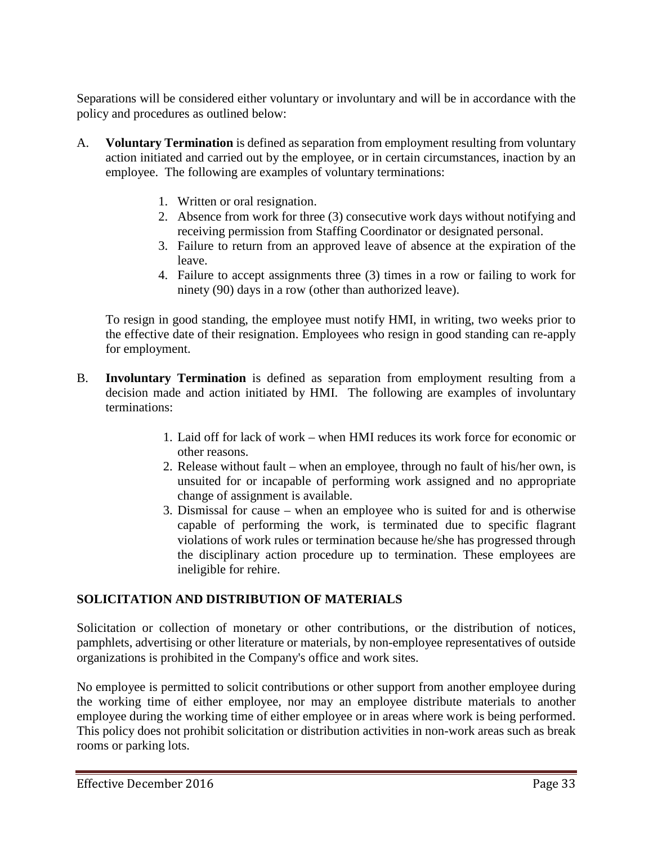Separations will be considered either voluntary or involuntary and will be in accordance with the policy and procedures as outlined below:

- A. **Voluntary Termination** is defined as separation from employment resulting from voluntary action initiated and carried out by the employee, or in certain circumstances, inaction by an employee. The following are examples of voluntary terminations:
	- 1. Written or oral resignation.
	- 2. Absence from work for three (3) consecutive work days without notifying and receiving permission from Staffing Coordinator or designated personal.
	- 3. Failure to return from an approved leave of absence at the expiration of the leave.
	- 4. Failure to accept assignments three (3) times in a row or failing to work for ninety (90) days in a row (other than authorized leave).

To resign in good standing, the employee must notify HMI, in writing, two weeks prior to the effective date of their resignation. Employees who resign in good standing can re-apply for employment.

- B. **Involuntary Termination** is defined as separation from employment resulting from a decision made and action initiated by HMI. The following are examples of involuntary terminations:
	- 1. Laid off for lack of work when HMI reduces its work force for economic or other reasons.
	- 2. Release without fault when an employee, through no fault of his/her own, is unsuited for or incapable of performing work assigned and no appropriate change of assignment is available.
	- 3. Dismissal for cause when an employee who is suited for and is otherwise capable of performing the work, is terminated due to specific flagrant violations of work rules or termination because he/she has progressed through the disciplinary action procedure up to termination. These employees are ineligible for rehire.

## **SOLICITATION AND DISTRIBUTION OF MATERIALS**

Solicitation or collection of monetary or other contributions, or the distribution of notices, pamphlets, advertising or other literature or materials, by non-employee representatives of outside organizations is prohibited in the Company's office and work sites.

No employee is permitted to solicit contributions or other support from another employee during the working time of either employee, nor may an employee distribute materials to another employee during the working time of either employee or in areas where work is being performed. This policy does not prohibit solicitation or distribution activities in non-work areas such as break rooms or parking lots.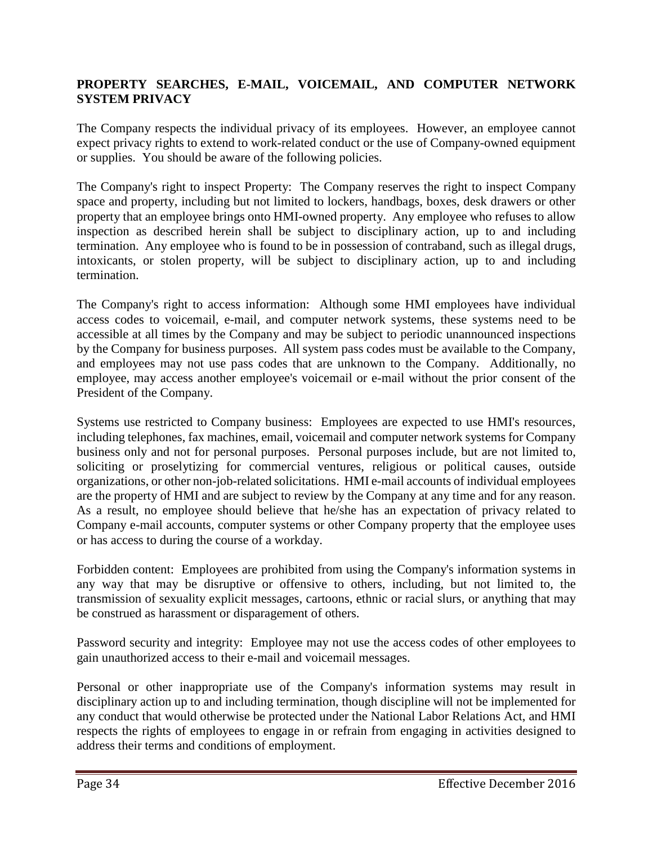## **PROPERTY SEARCHES, E-MAIL, VOICEMAIL, AND COMPUTER NETWORK SYSTEM PRIVACY**

The Company respects the individual privacy of its employees. However, an employee cannot expect privacy rights to extend to work-related conduct or the use of Company-owned equipment or supplies. You should be aware of the following policies.

The Company's right to inspect Property: The Company reserves the right to inspect Company space and property, including but not limited to lockers, handbags, boxes, desk drawers or other property that an employee brings onto HMI-owned property. Any employee who refuses to allow inspection as described herein shall be subject to disciplinary action, up to and including termination. Any employee who is found to be in possession of contraband, such as illegal drugs, intoxicants, or stolen property, will be subject to disciplinary action, up to and including termination.

The Company's right to access information: Although some HMI employees have individual access codes to voicemail, e-mail, and computer network systems, these systems need to be accessible at all times by the Company and may be subject to periodic unannounced inspections by the Company for business purposes. All system pass codes must be available to the Company, and employees may not use pass codes that are unknown to the Company. Additionally, no employee, may access another employee's voicemail or e-mail without the prior consent of the President of the Company.

Systems use restricted to Company business: Employees are expected to use HMI's resources, including telephones, fax machines, email, voicemail and computer network systems for Company business only and not for personal purposes. Personal purposes include, but are not limited to, soliciting or proselytizing for commercial ventures, religious or political causes, outside organizations, or other non-job-related solicitations. HMI e-mail accounts of individual employees are the property of HMI and are subject to review by the Company at any time and for any reason. As a result, no employee should believe that he/she has an expectation of privacy related to Company e-mail accounts, computer systems or other Company property that the employee uses or has access to during the course of a workday.

Forbidden content: Employees are prohibited from using the Company's information systems in any way that may be disruptive or offensive to others, including, but not limited to, the transmission of sexuality explicit messages, cartoons, ethnic or racial slurs, or anything that may be construed as harassment or disparagement of others.

Password security and integrity: Employee may not use the access codes of other employees to gain unauthorized access to their e-mail and voicemail messages.

Personal or other inappropriate use of the Company's information systems may result in disciplinary action up to and including termination, though discipline will not be implemented for any conduct that would otherwise be protected under the National Labor Relations Act, and HMI respects the rights of employees to engage in or refrain from engaging in activities designed to address their terms and conditions of employment.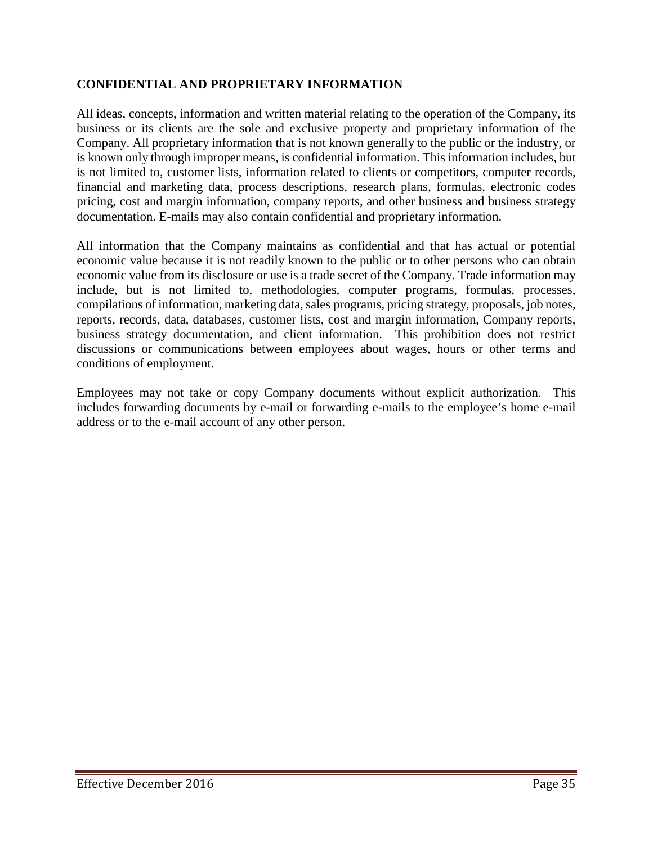## **CONFIDENTIAL AND PROPRIETARY INFORMATION**

All ideas, concepts, information and written material relating to the operation of the Company, its business or its clients are the sole and exclusive property and proprietary information of the Company. All proprietary information that is not known generally to the public or the industry, or is known only through improper means, is confidential information. This information includes, but is not limited to, customer lists, information related to clients or competitors, computer records, financial and marketing data, process descriptions, research plans, formulas, electronic codes pricing, cost and margin information, company reports, and other business and business strategy documentation. E-mails may also contain confidential and proprietary information.

All information that the Company maintains as confidential and that has actual or potential economic value because it is not readily known to the public or to other persons who can obtain economic value from its disclosure or use is a trade secret of the Company. Trade information may include, but is not limited to, methodologies, computer programs, formulas, processes, compilations of information, marketing data, sales programs, pricing strategy, proposals, job notes, reports, records, data, databases, customer lists, cost and margin information, Company reports, business strategy documentation, and client information. This prohibition does not restrict discussions or communications between employees about wages, hours or other terms and conditions of employment.

Employees may not take or copy Company documents without explicit authorization. This includes forwarding documents by e-mail or forwarding e-mails to the employee's home e-mail address or to the e-mail account of any other person.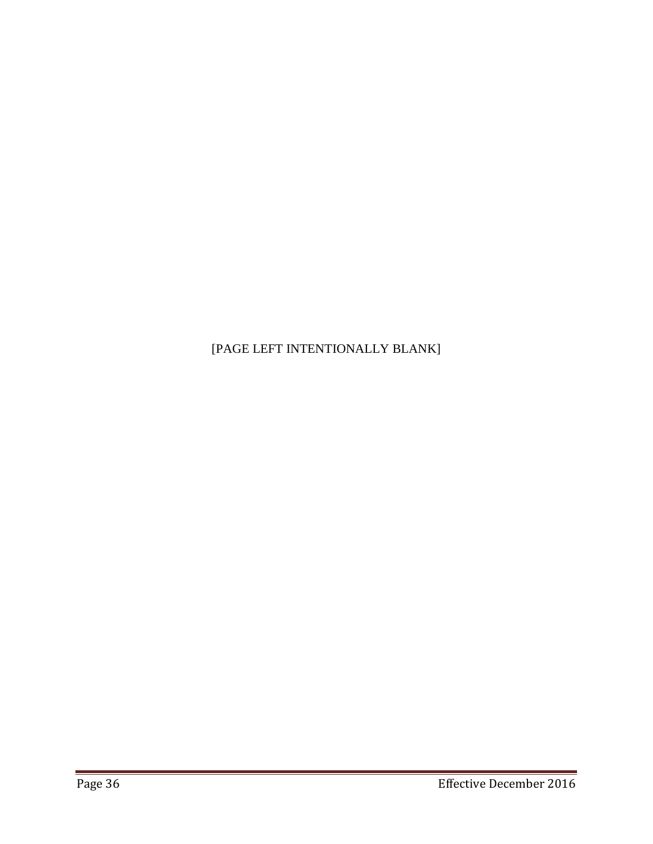[PAGE LEFT INTENTIONALLY BLANK]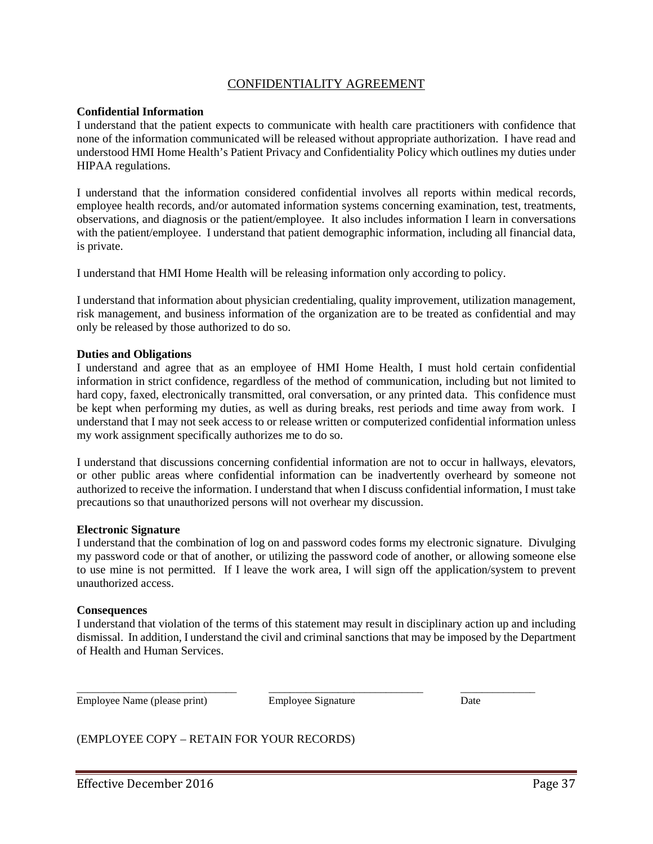#### CONFIDENTIALITY AGREEMENT

#### **Confidential Information**

I understand that the patient expects to communicate with health care practitioners with confidence that none of the information communicated will be released without appropriate authorization. I have read and understood HMI Home Health's Patient Privacy and Confidentiality Policy which outlines my duties under HIPAA regulations.

I understand that the information considered confidential involves all reports within medical records, employee health records, and/or automated information systems concerning examination, test, treatments, observations, and diagnosis or the patient/employee. It also includes information I learn in conversations with the patient/employee. I understand that patient demographic information, including all financial data, is private.

I understand that HMI Home Health will be releasing information only according to policy.

I understand that information about physician credentialing, quality improvement, utilization management, risk management, and business information of the organization are to be treated as confidential and may only be released by those authorized to do so.

#### **Duties and Obligations**

I understand and agree that as an employee of HMI Home Health, I must hold certain confidential information in strict confidence, regardless of the method of communication, including but not limited to hard copy, faxed, electronically transmitted, oral conversation, or any printed data. This confidence must be kept when performing my duties, as well as during breaks, rest periods and time away from work. I understand that I may not seek access to or release written or computerized confidential information unless my work assignment specifically authorizes me to do so.

I understand that discussions concerning confidential information are not to occur in hallways, elevators, or other public areas where confidential information can be inadvertently overheard by someone not authorized to receive the information. I understand that when I discuss confidential information, I must take precautions so that unauthorized persons will not overhear my discussion.

#### **Electronic Signature**

I understand that the combination of log on and password codes forms my electronic signature. Divulging my password code or that of another, or utilizing the password code of another, or allowing someone else to use mine is not permitted. If I leave the work area, I will sign off the application/system to prevent unauthorized access.

#### **Consequences**

I understand that violation of the terms of this statement may result in disciplinary action up and including dismissal. In addition, I understand the civil and criminal sanctions that may be imposed by the Department of Health and Human Services.

\_\_\_\_\_\_\_\_\_\_\_\_\_\_\_\_\_\_\_\_\_\_\_\_\_\_\_\_\_\_ \_\_\_\_\_\_\_\_\_\_\_\_\_\_\_\_\_\_\_\_\_\_\_\_\_\_\_\_\_ \_\_\_\_\_\_\_\_\_\_\_\_\_\_ Employee Name (please print) Employee Signature Date

(EMPLOYEE COPY – RETAIN FOR YOUR RECORDS)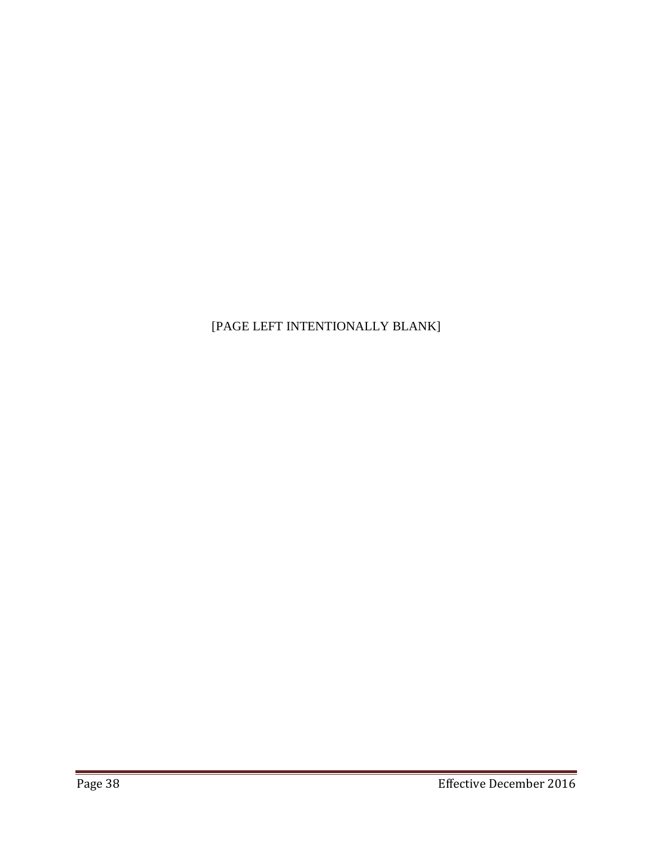## [PAGE LEFT INTENTIONALLY BLANK]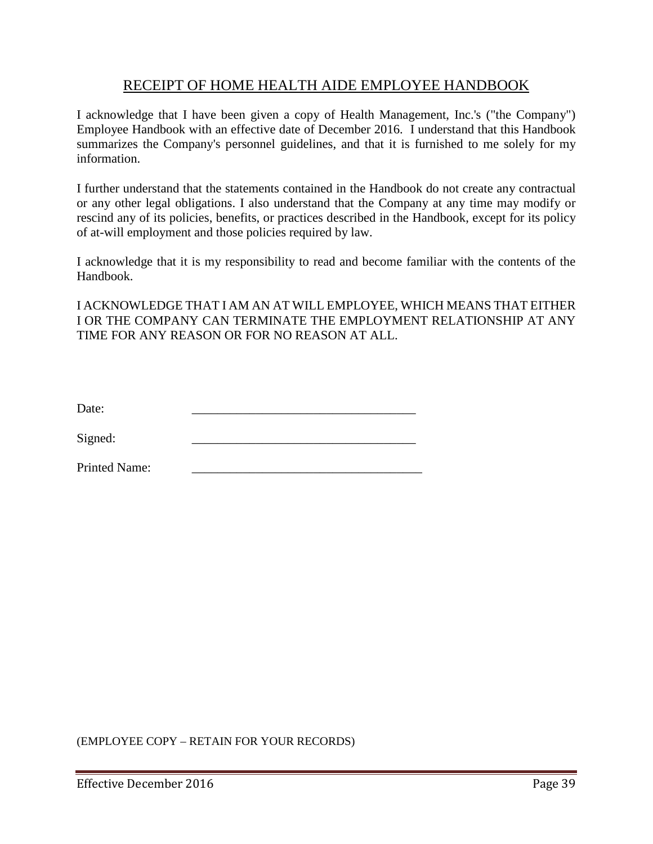## RECEIPT OF HOME HEALTH AIDE EMPLOYEE HANDBOOK

I acknowledge that I have been given a copy of Health Management, Inc.'s ("the Company") Employee Handbook with an effective date of December 2016. I understand that this Handbook summarizes the Company's personnel guidelines, and that it is furnished to me solely for my information.

I further understand that the statements contained in the Handbook do not create any contractual or any other legal obligations. I also understand that the Company at any time may modify or rescind any of its policies, benefits, or practices described in the Handbook, except for its policy of at-will employment and those policies required by law.

I acknowledge that it is my responsibility to read and become familiar with the contents of the Handbook.

I ACKNOWLEDGE THAT I AM AN AT WILL EMPLOYEE, WHICH MEANS THAT EITHER I OR THE COMPANY CAN TERMINATE THE EMPLOYMENT RELATIONSHIP AT ANY TIME FOR ANY REASON OR FOR NO REASON AT ALL.

| D<br>$\cdots$ |  |
|---------------|--|
|---------------|--|

Signed:

Printed Name:

(EMPLOYEE COPY – RETAIN FOR YOUR RECORDS)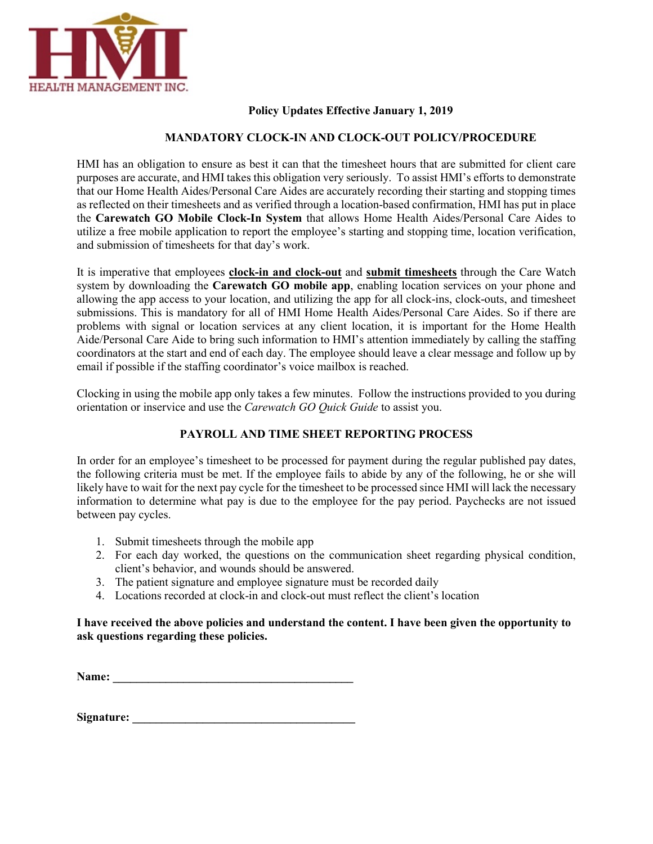

#### **Policy Updates Effective January 1, 2019**

#### **MANDATORY CLOCK-IN AND CLOCK-OUT POLICY/PROCEDURE**

HMI has an obligation to ensure as best it can that the timesheet hours that are submitted for client care purposes are accurate, and HMI takes this obligation very seriously. To assist HMI's efforts to demonstrate that our Home Health Aides/Personal Care Aides are accurately recording their starting and stopping times as reflected on their timesheets and as verified through a location-based confirmation, HMI has put in place the **Carewatch GO Mobile Clock-In System** that allows Home Health Aides/Personal Care Aides to utilize a free mobile application to report the employee's starting and stopping time, location verification, and submission of timesheets for that day's work.

It is imperative that employees **clock-in and clock-out** and **submit timesheets** through the Care Watch system by downloading the **Carewatch GO mobile app**, enabling location services on your phone and allowing the app access to your location, and utilizing the app for all clock-ins, clock-outs, and timesheet submissions. This is mandatory for all of HMI Home Health Aides/Personal Care Aides. So if there are problems with signal or location services at any client location, it is important for the Home Health Aide/Personal Care Aide to bring such information to HMI's attention immediately by calling the staffing coordinators at the start and end of each day. The employee should leave a clear message and follow up by email if possible if the staffing coordinator's voice mailbox is reached.

Clocking in using the mobile app only takes a few minutes. Follow the instructions provided to you during orientation or inservice and use the *Carewatch GO Quick Guide* to assist you.

#### **PAYROLL AND TIME SHEET REPORTING PROCESS**

In order for an employee's timesheet to be processed for payment during the regular published pay dates, the following criteria must be met. If the employee fails to abide by any of the following, he or she will likely have to wait for the next pay cycle for the timesheet to be processed since HMI will lack the necessary information to determine what pay is due to the employee for the pay period. Paychecks are not issued between pay cycles.

- 1. Submit timesheets through the mobile app
- 2. For each day worked, the questions on the communication sheet regarding physical condition, client's behavior, and wounds should be answered.
- 3. The patient signature and employee signature must be recorded daily
- 4. Locations recorded at clock-in and clock-out must reflect the client's location

#### **I have received the above policies and understand the content. I have been given the opportunity to ask questions regarding these policies.**

**Name: \_\_\_\_\_\_\_\_\_\_\_\_\_\_\_\_\_\_\_\_\_\_\_\_\_\_\_\_\_\_\_\_\_\_\_\_\_\_\_\_\_**

**Signature: \_\_\_\_\_\_\_\_\_\_\_\_\_\_\_\_\_\_\_\_\_\_\_\_\_\_\_\_\_\_\_\_\_\_\_\_\_\_**